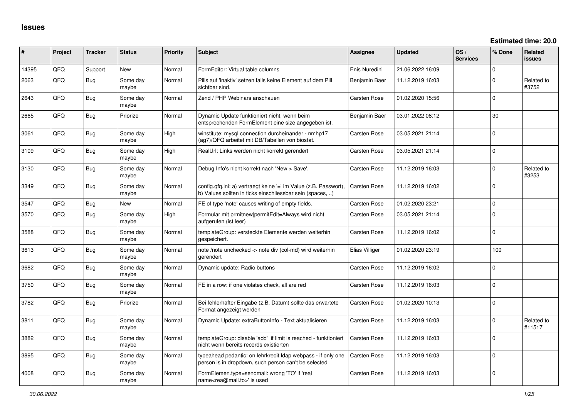| #     | Project | <b>Tracker</b> | <b>Status</b>     | <b>Priority</b> | Subject                                                                                                                       | <b>Assignee</b>     | <b>Updated</b>   | OS/<br><b>Services</b> | % Done      | <b>Related</b><br><b>issues</b> |
|-------|---------|----------------|-------------------|-----------------|-------------------------------------------------------------------------------------------------------------------------------|---------------------|------------------|------------------------|-------------|---------------------------------|
| 14395 | QFQ     | Support        | <b>New</b>        | Normal          | FormEditor: Virtual table columns                                                                                             | Enis Nuredini       | 21.06.2022 16:09 |                        | $\Omega$    |                                 |
| 2063  | QFQ     | Bug            | Some day<br>maybe | Normal          | Pills auf 'inaktiv' setzen falls keine Element auf dem Pill<br>sichtbar sind.                                                 | Benjamin Baer       | 11.12.2019 16:03 |                        | $\Omega$    | Related to<br>#3752             |
| 2643  | QFQ     | Bug            | Some day<br>maybe | Normal          | Zend / PHP Webinars anschauen                                                                                                 | Carsten Rose        | 01.02.2020 15:56 |                        | $\Omega$    |                                 |
| 2665  | QFQ     | <b>Bug</b>     | Priorize          | Normal          | Dynamic Update funktioniert nicht, wenn beim<br>entsprechenden FormElement eine size angegeben ist.                           | Benjamin Baer       | 03.01.2022 08:12 |                        | 30          |                                 |
| 3061  | QFQ     | Bug            | Some day<br>maybe | High            | winstitute: mysql connection durcheinander - nmhp17<br>(ag7)/QFQ arbeitet mit DB/Tabellen von biostat.                        | <b>Carsten Rose</b> | 03.05.2021 21:14 |                        | $\mathbf 0$ |                                 |
| 3109  | QFQ     | Bug            | Some day<br>maybe | High            | RealUrl: Links werden nicht korrekt gerendert                                                                                 | Carsten Rose        | 03.05.2021 21:14 |                        | $\Omega$    |                                 |
| 3130  | QFQ     | Bug            | Some day<br>maybe | Normal          | Debug Info's nicht korrekt nach 'New > Save'.                                                                                 | <b>Carsten Rose</b> | 11.12.2019 16:03 |                        | $\Omega$    | Related to<br>#3253             |
| 3349  | QFQ     | Bug            | Some day<br>maybe | Normal          | config.qfq.ini: a) vertraegt keine '=' im Value (z.B. Passwort).<br>b) Values sollten in ticks einschliessbar sein (spaces, ) | <b>Carsten Rose</b> | 11.12.2019 16:02 |                        | $\Omega$    |                                 |
| 3547  | QFQ     | Bug            | <b>New</b>        | Normal          | FE of type 'note' causes writing of empty fields.                                                                             | <b>Carsten Rose</b> | 01.02.2020 23:21 |                        | $\mathbf 0$ |                                 |
| 3570  | QFQ     | Bug            | Some day<br>maybe | High            | Formular mit prmitnew permitEdit=Always wird nicht<br>aufgerufen (ist leer)                                                   | Carsten Rose        | 03.05.2021 21:14 |                        | $\mathbf 0$ |                                 |
| 3588  | QFQ     | Bug            | Some day<br>maybe | Normal          | templateGroup: versteckte Elemente werden weiterhin<br>aespeichert.                                                           | Carsten Rose        | 11.12.2019 16:02 |                        | $\Omega$    |                                 |
| 3613  | QFQ     | Bug            | Some day<br>maybe | Normal          | note /note unchecked -> note div (col-md) wird weiterhin<br>gerendert                                                         | Elias Villiger      | 01.02.2020 23:19 |                        | 100         |                                 |
| 3682  | QFQ     | Bug            | Some day<br>maybe | Normal          | Dynamic update: Radio buttons                                                                                                 | <b>Carsten Rose</b> | 11.12.2019 16:02 |                        | $\Omega$    |                                 |
| 3750  | QFQ     | Bug            | Some day<br>maybe | Normal          | FE in a row: if one violates check, all are red                                                                               | <b>Carsten Rose</b> | 11.12.2019 16:03 |                        | $\Omega$    |                                 |
| 3782  | QFQ     | Bug            | Priorize          | Normal          | Bei fehlerhafter Eingabe (z.B. Datum) sollte das erwartete<br>Format angezeigt werden                                         | <b>Carsten Rose</b> | 01.02.2020 10:13 |                        | $\mathbf 0$ |                                 |
| 3811  | QFQ     | Bug            | Some day<br>maybe | Normal          | Dynamic Update: extraButtonInfo - Text aktualisieren                                                                          | Carsten Rose        | 11.12.2019 16:03 |                        | $\mathbf 0$ | Related to<br>#11517            |
| 3882  | QFQ     | Bug            | Some day<br>maybe | Normal          | templateGroup: disable 'add' if limit is reached - funktioniert<br>nicht wenn bereits records existierten                     | <b>Carsten Rose</b> | 11.12.2019 16:03 |                        | 0           |                                 |
| 3895  | QFQ     | Bug            | Some day<br>maybe | Normal          | typeahead pedantic: on lehrkredit Idap webpass - if only one<br>person is in dropdown, such person can't be selected          | <b>Carsten Rose</b> | 11.12.2019 16:03 |                        | $\Omega$    |                                 |
| 4008  | QFQ     | Bug            | Some day<br>maybe | Normal          | FormElemen.type=sendmail: wrong 'TO' if 'real<br>name <rea@mail.to>' is used</rea@mail.to>                                    | Carsten Rose        | 11.12.2019 16:03 |                        | $\mathbf 0$ |                                 |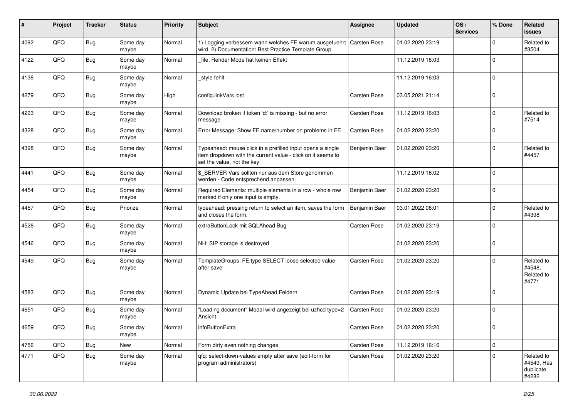| #    | Project | <b>Tracker</b> | <b>Status</b>     | <b>Priority</b> | Subject                                                                                                                                                  | Assignee      | <b>Updated</b>   | OS/<br><b>Services</b> | % Done   | Related<br>issues                              |
|------|---------|----------------|-------------------|-----------------|----------------------------------------------------------------------------------------------------------------------------------------------------------|---------------|------------------|------------------------|----------|------------------------------------------------|
| 4092 | QFQ     | Bug            | Some day<br>maybe | Normal          | 1) Logging verbessern wann welches FE warum ausgefuehrt<br>wird, 2) Documentation: Best Practice Template Group                                          | Carsten Rose  | 01.02.2020 23:19 |                        | $\Omega$ | Related to<br>#3504                            |
| 4122 | QFQ     | Bug            | Some day<br>maybe | Normal          | file: Render Mode hat keinen Effekt                                                                                                                      |               | 11.12.2019 16:03 |                        | $\Omega$ |                                                |
| 4138 | QFQ     | Bug            | Some day<br>maybe | Normal          | style fehlt                                                                                                                                              |               | 11.12.2019 16:03 |                        | $\Omega$ |                                                |
| 4279 | QFQ     | <b>Bug</b>     | Some day<br>maybe | High            | config.linkVars lost                                                                                                                                     | Carsten Rose  | 03.05.2021 21:14 |                        | $\Omega$ |                                                |
| 4293 | QFQ     | <b>Bug</b>     | Some day<br>maybe | Normal          | Download broken if token 'd:' is missing - but no error<br>message                                                                                       | Carsten Rose  | 11.12.2019 16:03 |                        | $\Omega$ | Related to<br>#7514                            |
| 4328 | QFQ     | <b>Bug</b>     | Some day<br>maybe | Normal          | Error Message: Show FE name/number on problems in FE                                                                                                     | Carsten Rose  | 01.02.2020 23:20 |                        | $\Omega$ |                                                |
| 4398 | QFQ     | Bug            | Some day<br>maybe | Normal          | Typeahead: mouse click in a prefilled input opens a single<br>item dropdown with the current value - click on it seems to<br>set the value, not the key. | Benjamin Baer | 01.02.2020 23:20 |                        | $\Omega$ | Related to<br>#4457                            |
| 4441 | QFQ     | Bug            | Some day<br>maybe | Normal          | \$_SERVER Vars sollten nur aus dem Store genommen<br>werden - Code entsprechend anpassen.                                                                |               | 11.12.2019 16:02 |                        | $\Omega$ |                                                |
| 4454 | QFQ     | <b>Bug</b>     | Some day<br>maybe | Normal          | Required Elements: multiple elements in a row - whole row<br>marked if only one input is empty.                                                          | Benjamin Baer | 01.02.2020 23:20 |                        | $\Omega$ |                                                |
| 4457 | QFQ     | Bug            | Priorize          | Normal          | typeahead: pressing return to select an item, saves the form<br>and closes the form.                                                                     | Benjamin Baer | 03.01.2022 08:01 |                        | $\Omega$ | Related to<br>#4398                            |
| 4528 | QFQ     | Bug            | Some day<br>maybe | Normal          | extraButtonLock mit SQLAhead Bug                                                                                                                         | Carsten Rose  | 01.02.2020 23:19 |                        | $\Omega$ |                                                |
| 4546 | QFQ     | Bug            | Some day<br>maybe | Normal          | NH: SIP storage is destroyed                                                                                                                             |               | 01.02.2020 23:20 |                        | $\Omega$ |                                                |
| 4549 | QFQ     | <b>Bug</b>     | Some day<br>maybe | Normal          | TemplateGroups: FE.type SELECT loose selected value<br>after save                                                                                        | Carsten Rose  | 01.02.2020 23:20 |                        | $\Omega$ | Related to<br>#4548,<br>Related to<br>#4771    |
| 4583 | QFQ     | Bug            | Some day<br>maybe | Normal          | Dynamic Update bei TypeAhead Feldern                                                                                                                     | Carsten Rose  | 01.02.2020 23:19 |                        | $\Omega$ |                                                |
| 4651 | QFQ     | Bug            | Some day<br>maybe | Normal          | 'Loading document" Modal wird angezeigt bei uzhcd type=2<br>Ansicht                                                                                      | Carsten Rose  | 01.02.2020 23:20 |                        | $\Omega$ |                                                |
| 4659 | QFQ     | Bug            | Some day<br>maybe | Normal          | infoButtonExtra                                                                                                                                          | Carsten Rose  | 01.02.2020 23:20 |                        |          |                                                |
| 4756 | QFQ     | <b>Bug</b>     | New               | Normal          | Form dirty even nothing changes                                                                                                                          | Carsten Rose  | 11.12.2019 16:16 |                        | $\Omega$ |                                                |
| 4771 | QFQ     | <b>Bug</b>     | Some day<br>maybe | Normal          | qfq: select-down-values empty after save (edit-form for<br>program administrators)                                                                       | Carsten Rose  | 01.02.2020 23:20 |                        | $\Omega$ | Related to<br>#4549, Has<br>duplicate<br>#4282 |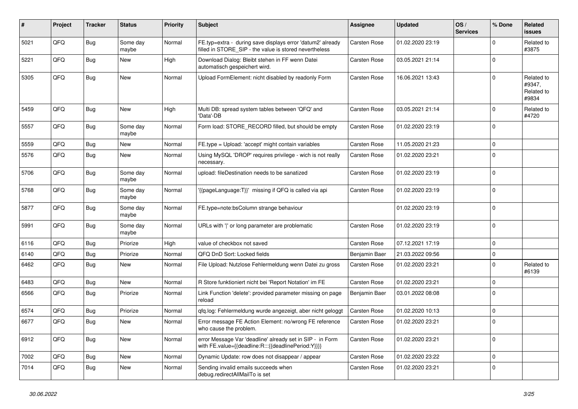| ∦    | Project | <b>Tracker</b> | <b>Status</b>     | <b>Priority</b> | <b>Subject</b>                                                                                                       | Assignee      | <b>Updated</b>   | OS/<br><b>Services</b> | % Done      | Related<br>issues                           |
|------|---------|----------------|-------------------|-----------------|----------------------------------------------------------------------------------------------------------------------|---------------|------------------|------------------------|-------------|---------------------------------------------|
| 5021 | QFQ     | <b>Bug</b>     | Some day<br>maybe | Normal          | FE.typ=extra - during save displays error 'datum2' already<br>filled in STORE_SIP - the value is stored nevertheless | Carsten Rose  | 01.02.2020 23:19 |                        | 0           | Related to<br>#3875                         |
| 5221 | QFQ     | <b>Bug</b>     | New               | High            | Download Dialog: Bleibt stehen in FF wenn Datei<br>automatisch gespeichert wird.                                     | Carsten Rose  | 03.05.2021 21:14 |                        | $\Omega$    |                                             |
| 5305 | QFQ     | <b>Bug</b>     | <b>New</b>        | Normal          | Upload FormElement: nicht disabled by readonly Form                                                                  | Carsten Rose  | 16.06.2021 13:43 |                        | $\Omega$    | Related to<br>#9347,<br>Related to<br>#9834 |
| 5459 | QFQ     | <b>Bug</b>     | New               | High            | Multi DB: spread system tables between 'QFQ' and<br>'Data'-DB                                                        | Carsten Rose  | 03.05.2021 21:14 |                        | $\Omega$    | Related to<br>#4720                         |
| 5557 | QFQ     | <b>Bug</b>     | Some day<br>maybe | Normal          | Form load: STORE_RECORD filled, but should be empty                                                                  | Carsten Rose  | 01.02.2020 23:19 |                        | $\Omega$    |                                             |
| 5559 | QFQ     | <b>Bug</b>     | New               | Normal          | FE.type = Upload: 'accept' might contain variables                                                                   | Carsten Rose  | 11.05.2020 21:23 |                        | $\mathbf 0$ |                                             |
| 5576 | QFQ     | Bug            | New               | Normal          | Using MySQL 'DROP' requires privilege - wich is not really<br>necessary.                                             | Carsten Rose  | 01.02.2020 23:21 |                        | $\Omega$    |                                             |
| 5706 | QFQ     | <b>Bug</b>     | Some day<br>maybe | Normal          | upload: fileDestination needs to be sanatized                                                                        | Carsten Rose  | 01.02.2020 23:19 |                        | $\Omega$    |                                             |
| 5768 | QFQ     | Bug            | Some day<br>maybe | Normal          | '{{pageLanguage:T}}' missing if QFQ is called via api                                                                | Carsten Rose  | 01.02.2020 23:19 |                        | $\Omega$    |                                             |
| 5877 | QFQ     | <b>Bug</b>     | Some day<br>maybe | Normal          | FE.type=note:bsColumn strange behaviour                                                                              |               | 01.02.2020 23:19 |                        | $\mathbf 0$ |                                             |
| 5991 | QFQ     | <b>Bug</b>     | Some day<br>maybe | Normal          | URLs with ' ' or long parameter are problematic                                                                      | Carsten Rose  | 01.02.2020 23:19 |                        | $\Omega$    |                                             |
| 6116 | QFQ     | <b>Bug</b>     | Priorize          | High            | value of checkbox not saved                                                                                          | Carsten Rose  | 07.12.2021 17:19 |                        | $\mathbf 0$ |                                             |
| 6140 | QFQ     | <b>Bug</b>     | Priorize          | Normal          | QFQ DnD Sort: Locked fields                                                                                          | Benjamin Baer | 21.03.2022 09:56 |                        | $\mathbf 0$ |                                             |
| 6462 | QFQ     | <b>Bug</b>     | New               | Normal          | File Upload: Nutzlose Fehlermeldung wenn Datei zu gross                                                              | Carsten Rose  | 01.02.2020 23:21 |                        | $\Omega$    | Related to<br>#6139                         |
| 6483 | QFQ     | <b>Bug</b>     | New               | Normal          | R Store funktioniert nicht bei 'Report Notation' im FE                                                               | Carsten Rose  | 01.02.2020 23:21 |                        | $\mathbf 0$ |                                             |
| 6566 | QFQ     | <b>Bug</b>     | Priorize          | Normal          | Link Function 'delete': provided parameter missing on page<br>reload                                                 | Benjamin Baer | 03.01.2022 08:08 |                        | $\Omega$    |                                             |
| 6574 | QFQ     | <b>Bug</b>     | Priorize          | Normal          | qfq.log: Fehlermeldung wurde angezeigt, aber nicht geloggt                                                           | Carsten Rose  | 01.02.2020 10:13 |                        | $\mathbf 0$ |                                             |
| 6677 | QFQ     | Bug            | New               | Normal          | Error message FE Action Element: no/wrong FE reference<br>who cause the problem.                                     | Carsten Rose  | 01.02.2020 23:21 |                        | $\mathbf 0$ |                                             |
| 6912 | QFQ     | Bug            | <b>New</b>        | Normal          | error Message Var 'deadline' already set in SIP - in Form<br>with FE.value={{deadline:R:::{{deadlinePeriod:Y}}}}     | Carsten Rose  | 01.02.2020 23:21 |                        | $\mathbf 0$ |                                             |
| 7002 | QFQ     | Bug            | New               | Normal          | Dynamic Update: row does not disappear / appear                                                                      | Carsten Rose  | 01.02.2020 23:22 |                        | $\pmb{0}$   |                                             |
| 7014 | QFQ     | Bug            | New               | Normal          | Sending invalid emails succeeds when<br>debug.redirectAllMailTo is set                                               | Carsten Rose  | 01.02.2020 23:21 |                        | $\Omega$    |                                             |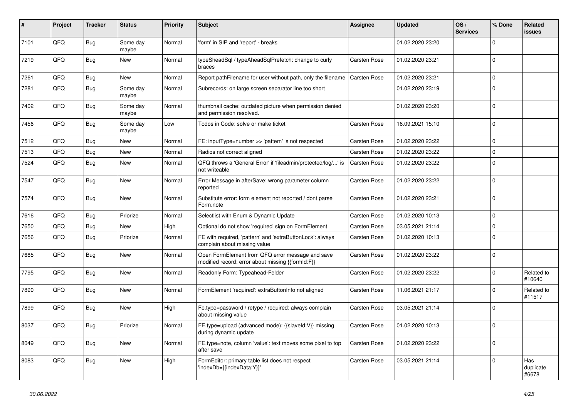| #    | Project | <b>Tracker</b> | <b>Status</b>     | <b>Priority</b> | <b>Subject</b>                                                                                        | <b>Assignee</b>     | <b>Updated</b>   | OS/<br><b>Services</b> | % Done      | Related<br>issues         |
|------|---------|----------------|-------------------|-----------------|-------------------------------------------------------------------------------------------------------|---------------------|------------------|------------------------|-------------|---------------------------|
| 7101 | QFQ     | Bug            | Some day<br>maybe | Normal          | 'form' in SIP and 'report' - breaks                                                                   |                     | 01.02.2020 23:20 |                        | $\Omega$    |                           |
| 7219 | QFQ     | Bug            | New               | Normal          | typeSheadSql / typeAheadSqlPrefetch: change to curly<br>braces                                        | Carsten Rose        | 01.02.2020 23:21 |                        | $\mathbf 0$ |                           |
| 7261 | QFQ     | Bug            | New               | Normal          | Report pathFilename for user without path, only the filename                                          | <b>Carsten Rose</b> | 01.02.2020 23:21 |                        | $\Omega$    |                           |
| 7281 | QFQ     | <b>Bug</b>     | Some day<br>maybe | Normal          | Subrecords: on large screen separator line too short                                                  |                     | 01.02.2020 23:19 |                        | $\Omega$    |                           |
| 7402 | QFQ     | Bug            | Some day<br>maybe | Normal          | thumbnail cache: outdated picture when permission denied<br>and permission resolved.                  |                     | 01.02.2020 23:20 |                        | $\Omega$    |                           |
| 7456 | QFQ     | Bug            | Some day<br>maybe | Low             | Todos in Code: solve or make ticket                                                                   | <b>Carsten Rose</b> | 16.09.2021 15:10 |                        | $\Omega$    |                           |
| 7512 | QFQ     | Bug            | <b>New</b>        | Normal          | FE: inputType=number >> 'pattern' is not respected                                                    | Carsten Rose        | 01.02.2020 23:22 |                        | $\Omega$    |                           |
| 7513 | QFQ     | Bug            | New               | Normal          | Radios not correct aligned                                                                            | Carsten Rose        | 01.02.2020 23:22 |                        | $\Omega$    |                           |
| 7524 | QFQ     | <b>Bug</b>     | New               | Normal          | QFQ throws a 'General Error' if 'fileadmin/protected/log/' is<br>not writeable                        | <b>Carsten Rose</b> | 01.02.2020 23:22 |                        | $\Omega$    |                           |
| 7547 | QFQ     | Bug            | New               | Normal          | Error Message in afterSave: wrong parameter column<br>reported                                        | Carsten Rose        | 01.02.2020 23:22 |                        | $\Omega$    |                           |
| 7574 | QFQ     | <b>Bug</b>     | New               | Normal          | Substitute error: form element not reported / dont parse<br>Form.note                                 | Carsten Rose        | 01.02.2020 23:21 |                        | $\Omega$    |                           |
| 7616 | QFQ     | <b>Bug</b>     | Priorize          | Normal          | Selectlist with Enum & Dynamic Update                                                                 | <b>Carsten Rose</b> | 01.02.2020 10:13 |                        | $\Omega$    |                           |
| 7650 | QFQ     | Bug            | New               | High            | Optional do not show 'required' sign on FormElement                                                   | Carsten Rose        | 03.05.2021 21:14 |                        | $\Omega$    |                           |
| 7656 | QFQ     | Bug            | Priorize          | Normal          | FE with required, 'pattern' and 'extraButtonLock': always<br>complain about missing value             | Carsten Rose        | 01.02.2020 10:13 |                        | $\Omega$    |                           |
| 7685 | QFQ     | Bug            | <b>New</b>        | Normal          | Open FormElement from QFQ error message and save<br>modified record: error about missing {{formId:F}} | Carsten Rose        | 01.02.2020 23:22 |                        | $\Omega$    |                           |
| 7795 | QFQ     | <b>Bug</b>     | New               | Normal          | Readonly Form: Typeahead-Felder                                                                       | Carsten Rose        | 01.02.2020 23:22 |                        | $\Omega$    | Related to<br>#10640      |
| 7890 | QFQ     | Bug            | New               | Normal          | FormElement 'required': extraButtonInfo not aligned                                                   | Carsten Rose        | 11.06.2021 21:17 |                        | $\Omega$    | Related to<br>#11517      |
| 7899 | QFQ     | <b>Bug</b>     | <b>New</b>        | High            | Fe.type=password / retype / required: always complain<br>about missing value                          | Carsten Rose        | 03.05.2021 21:14 |                        | $\Omega$    |                           |
| 8037 | QFQ     | <b>Bug</b>     | Priorize          | Normal          | FE.type=upload (advanced mode): {{slaveld:V}} missing<br>during dynamic update                        | <b>Carsten Rose</b> | 01.02.2020 10:13 |                        | 0           |                           |
| 8049 | QFQ     | Bug            | New               | Normal          | FE.type=note, column 'value': text moves some pixel to top<br>after save                              | <b>Carsten Rose</b> | 01.02.2020 23:22 |                        | $\Omega$    |                           |
| 8083 | QFQ     | <b>Bug</b>     | <b>New</b>        | High            | FormEditor: primary table list does not respect<br>'indexDb={{indexData:Y}}'                          | Carsten Rose        | 03.05.2021 21:14 |                        | $\Omega$    | Has<br>duplicate<br>#6678 |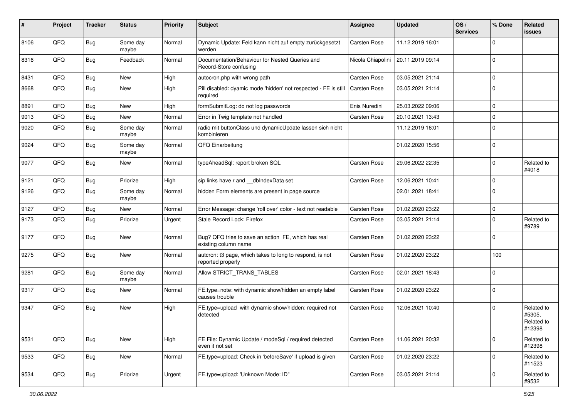| #    | Project | <b>Tracker</b> | <b>Status</b>     | <b>Priority</b> | Subject                                                                       | Assignee            | <b>Updated</b>   | OS/<br><b>Services</b> | % Done       | Related<br>issues                            |
|------|---------|----------------|-------------------|-----------------|-------------------------------------------------------------------------------|---------------------|------------------|------------------------|--------------|----------------------------------------------|
| 8106 | QFQ     | <b>Bug</b>     | Some day<br>maybe | Normal          | Dynamic Update: Feld kann nicht auf empty zurückgesetzt<br>werden             | Carsten Rose        | 11.12.2019 16:01 |                        | <sup>0</sup> |                                              |
| 8316 | QFQ     | <b>Bug</b>     | Feedback          | Normal          | Documentation/Behaviour for Nested Queries and<br>Record-Store confusing      | Nicola Chiapolini   | 20.11.2019 09:14 |                        | $\Omega$     |                                              |
| 8431 | QFQ     | Bug            | <b>New</b>        | High            | autocron.php with wrong path                                                  | Carsten Rose        | 03.05.2021 21:14 |                        | 0            |                                              |
| 8668 | QFQ     | <b>Bug</b>     | New               | High            | Pill disabled: dyamic mode 'hidden' not respected - FE is still<br>required   | Carsten Rose        | 03.05.2021 21:14 |                        | $\Omega$     |                                              |
| 8891 | QFQ     | Bug            | New               | High            | formSubmitLog: do not log passwords                                           | Enis Nuredini       | 25.03.2022 09:06 |                        | $\Omega$     |                                              |
| 9013 | QFQ     | <b>Bug</b>     | <b>New</b>        | Normal          | Error in Twig template not handled                                            | Carsten Rose        | 20.10.2021 13:43 |                        | $\Omega$     |                                              |
| 9020 | QFQ     | Bug            | Some day<br>maybe | Normal          | radio mit buttonClass und dynamicUpdate lassen sich nicht<br>kombinieren      |                     | 11.12.2019 16:01 |                        | $\Omega$     |                                              |
| 9024 | QFQ     | <b>Bug</b>     | Some day<br>maybe | Normal          | QFQ Einarbeitung                                                              |                     | 01.02.2020 15:56 |                        | $\Omega$     |                                              |
| 9077 | QFQ     | Bug            | New               | Normal          | typeAheadSql: report broken SQL                                               | Carsten Rose        | 29.06.2022 22:35 |                        | $\Omega$     | Related to<br>#4018                          |
| 9121 | QFQ     | Bug            | Priorize          | High            | sip links have r and __dbIndexData set                                        | Carsten Rose        | 12.06.2021 10:41 |                        | <sup>0</sup> |                                              |
| 9126 | QFQ     | <b>Bug</b>     | Some day<br>maybe | Normal          | hidden Form elements are present in page source                               |                     | 02.01.2021 18:41 |                        | $\Omega$     |                                              |
| 9127 | QFQ     | Bug            | <b>New</b>        | Normal          | Error Message: change 'roll over' color - text not readable                   | Carsten Rose        | 01.02.2020 23:22 |                        | $\Omega$     |                                              |
| 9173 | QFQ     | <b>Bug</b>     | Priorize          | Urgent          | Stale Record Lock: Firefox                                                    | <b>Carsten Rose</b> | 03.05.2021 21:14 |                        | $\Omega$     | Related to<br>#9789                          |
| 9177 | QFQ     | Bug            | <b>New</b>        | Normal          | Bug? QFQ tries to save an action FE, which has real<br>existing column name   | Carsten Rose        | 01.02.2020 23:22 |                        | $\Omega$     |                                              |
| 9275 | QFQ     | Bug            | New               | Normal          | autcron: t3 page, which takes to long to respond, is not<br>reported properly | Carsten Rose        | 01.02.2020 23:22 |                        | 100          |                                              |
| 9281 | QFQ     | <b>Bug</b>     | Some day<br>maybe | Normal          | Allow STRICT_TRANS_TABLES                                                     | Carsten Rose        | 02.01.2021 18:43 |                        | $\mathbf 0$  |                                              |
| 9317 | QFQ     | <b>Bug</b>     | <b>New</b>        | Normal          | FE.type=note: with dynamic show/hidden an empty label<br>causes trouble       | Carsten Rose        | 01.02.2020 23:22 |                        | $\Omega$     |                                              |
| 9347 | QFQ     | <b>Bug</b>     | <b>New</b>        | High            | FE.type=upload with dynamic show/hidden: required not<br>detected             | Carsten Rose        | 12.06.2021 10:40 |                        | $\Omega$     | Related to<br>#5305,<br>Related to<br>#12398 |
| 9531 | QFQ     | <b>Bug</b>     | <b>New</b>        | High            | FE File: Dynamic Update / modeSql / required detected<br>even it not set      | Carsten Rose        | 11.06.2021 20:32 |                        | $\mathbf 0$  | Related to<br>#12398                         |
| 9533 | QFQ     | Bug            | New               | Normal          | FE.type=upload: Check in 'beforeSave' if upload is given                      | Carsten Rose        | 01.02.2020 23:22 |                        | $\Omega$     | Related to<br>#11523                         |
| 9534 | QFQ     | <b>Bug</b>     | Priorize          | Urgent          | FE.type=upload: 'Unknown Mode: ID"                                            | Carsten Rose        | 03.05.2021 21:14 |                        | $\Omega$     | Related to<br>#9532                          |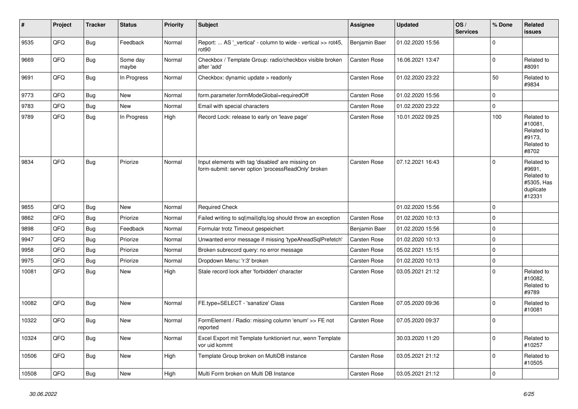| #     | Project | <b>Tracker</b> | <b>Status</b>     | <b>Priority</b> | <b>Subject</b>                                                                                           | <b>Assignee</b> | <b>Updated</b>   | OS/<br><b>Services</b> | % Done      | Related<br>issues                                                       |
|-------|---------|----------------|-------------------|-----------------|----------------------------------------------------------------------------------------------------------|-----------------|------------------|------------------------|-------------|-------------------------------------------------------------------------|
| 9535  | QFQ     | <b>Bug</b>     | Feedback          | Normal          | Report:  AS '_vertical' - column to wide - vertical >> rot45,<br>rot <sub>90</sub>                       | Benjamin Baer   | 01.02.2020 15:56 |                        | $\mathbf 0$ |                                                                         |
| 9669  | QFQ     | Bug            | Some day<br>maybe | Normal          | Checkbox / Template Group: radio/checkbox visible broken<br>after 'add'                                  | Carsten Rose    | 16.06.2021 13:47 |                        | $\pmb{0}$   | Related to<br>#8091                                                     |
| 9691  | QFQ     | <b>Bug</b>     | In Progress       | Normal          | Checkbox: dynamic update > readonly                                                                      | Carsten Rose    | 01.02.2020 23:22 |                        | 50          | Related to<br>#9834                                                     |
| 9773  | QFQ     | Bug            | <b>New</b>        | Normal          | form.parameter.formModeGlobal=requiredOff                                                                | Carsten Rose    | 01.02.2020 15:56 |                        | $\mathbf 0$ |                                                                         |
| 9783  | QFQ     | <b>Bug</b>     | <b>New</b>        | Normal          | Email with special characters                                                                            | Carsten Rose    | 01.02.2020 23:22 |                        | $\mathbf 0$ |                                                                         |
| 9789  | QFQ     | Bug            | In Progress       | High            | Record Lock: release to early on 'leave page'                                                            | Carsten Rose    | 10.01.2022 09:25 |                        | 100         | Related to<br>#10081,<br>Related to<br>#9173.<br>Related to<br>#8702    |
| 9834  | QFQ     | Bug            | Priorize          | Normal          | Input elements with tag 'disabled' are missing on<br>form-submit: server option 'processReadOnly' broken | Carsten Rose    | 07.12.2021 16:43 |                        | $\Omega$    | Related to<br>#9691.<br>Related to<br>#5305, Has<br>duplicate<br>#12331 |
| 9855  | QFQ     | <b>Bug</b>     | <b>New</b>        | Normal          | <b>Required Check</b>                                                                                    |                 | 01.02.2020 15:56 |                        | $\Omega$    |                                                                         |
| 9862  | QFQ     | Bug            | Priorize          | Normal          | Failed writing to sql mail qfq.log should throw an exception                                             | Carsten Rose    | 01.02.2020 10:13 |                        | $\mathbf 0$ |                                                                         |
| 9898  | QFQ     | <b>Bug</b>     | Feedback          | Normal          | Formular trotz Timeout gespeichert                                                                       | Benjamin Baer   | 01.02.2020 15:56 |                        | $\mathbf 0$ |                                                                         |
| 9947  | QFQ     | <b>Bug</b>     | Priorize          | Normal          | Unwanted error message if missing 'typeAheadSqlPrefetch'                                                 | Carsten Rose    | 01.02.2020 10:13 |                        | $\mathbf 0$ |                                                                         |
| 9958  | QFQ     | Bug            | Priorize          | Normal          | Broken subrecord query: no error message                                                                 | Carsten Rose    | 05.02.2021 15:15 |                        | $\mathbf 0$ |                                                                         |
| 9975  | QFQ     | <b>Bug</b>     | Priorize          | Normal          | Dropdown Menu: 'r:3' broken                                                                              | Carsten Rose    | 01.02.2020 10:13 |                        | $\mathbf 0$ |                                                                         |
| 10081 | QFQ     | <b>Bug</b>     | <b>New</b>        | High            | Stale record lock after 'forbidden' character                                                            | Carsten Rose    | 03.05.2021 21:12 |                        | $\mathbf 0$ | Related to<br>#10082,<br>Related to<br>#9789                            |
| 10082 | QFQ     | Bug            | New               | Normal          | FE.type=SELECT - 'sanatize' Class                                                                        | Carsten Rose    | 07.05.2020 09:36 |                        | $\mathbf 0$ | Related to<br>#10081                                                    |
| 10322 | QFQ     | <b>Bug</b>     | New               | Normal          | FormElement / Radio: missing column 'enum' >> FE not<br>reported                                         | Carsten Rose    | 07.05.2020 09:37 |                        | $\mathbf 0$ |                                                                         |
| 10324 | QFQ     | Bug            | New               | Normal          | Excel Export mit Template funktioniert nur, wenn Template<br>vor uid kommt                               |                 | 30.03.2020 11:20 |                        | $\mathbf 0$ | Related to<br>#10257                                                    |
| 10506 | QFQ     | Bug            | New               | High            | Template Group broken on MultiDB instance                                                                | Carsten Rose    | 03.05.2021 21:12 |                        | $\mathbf 0$ | Related to<br>#10505                                                    |
| 10508 | QFQ     | Bug            | New               | High            | Multi Form broken on Multi DB Instance                                                                   | Carsten Rose    | 03.05.2021 21:12 |                        | $\mathbf 0$ |                                                                         |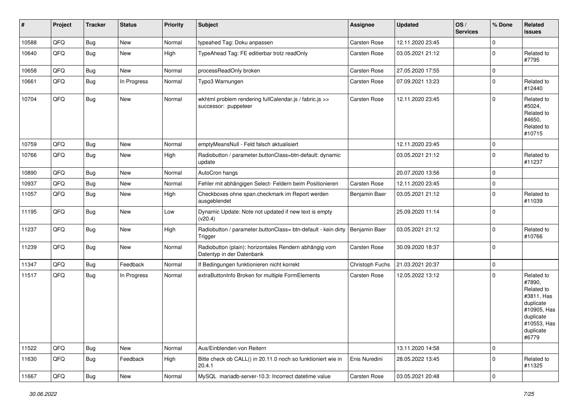| #     | Project | <b>Tracker</b> | <b>Status</b> | <b>Priority</b> | <b>Subject</b>                                                                      | <b>Assignee</b> | <b>Updated</b>   | OS/<br><b>Services</b> | % Done      | Related<br>issues                                                                                                              |
|-------|---------|----------------|---------------|-----------------|-------------------------------------------------------------------------------------|-----------------|------------------|------------------------|-------------|--------------------------------------------------------------------------------------------------------------------------------|
| 10588 | QFQ     | Bug            | New           | Normal          | typeahed Tag: Doku anpassen                                                         | Carsten Rose    | 12.11.2020 23:45 |                        | $\mathbf 0$ |                                                                                                                                |
| 10640 | QFQ     | Bug            | <b>New</b>    | High            | TypeAhead Tag: FE editierbar trotz readOnly                                         | Carsten Rose    | 03.05.2021 21:12 |                        | 0           | Related to<br>#7795                                                                                                            |
| 10658 | QFQ     | Bug            | New           | Normal          | processReadOnly broken                                                              | Carsten Rose    | 27.05.2020 17:55 |                        | $\mathbf 0$ |                                                                                                                                |
| 10661 | QFQ     | <b>Bug</b>     | In Progress   | Normal          | Typo3 Warnungen                                                                     | Carsten Rose    | 07.09.2021 13:23 |                        | 0           | Related to<br>#12440                                                                                                           |
| 10704 | QFQ     | <b>Bug</b>     | New           | Normal          | wkhtml problem rendering fullCalendar.js / fabric.js >><br>successor: puppeteer     | Carsten Rose    | 12.11.2020 23:45 |                        | $\mathbf 0$ | Related to<br>#5024,<br>Related to<br>#4650.<br>Related to<br>#10715                                                           |
| 10759 | QFQ     | <b>Bug</b>     | New           | Normal          | emptyMeansNull - Feld falsch aktualisiert                                           |                 | 12.11.2020 23:45 |                        | 0           |                                                                                                                                |
| 10766 | QFQ     | <b>Bug</b>     | New           | High            | Radiobutton / parameter.buttonClass=btn-default: dynamic<br>update                  |                 | 03.05.2021 21:12 |                        | $\mathbf 0$ | Related to<br>#11237                                                                                                           |
| 10890 | QFQ     | Bug            | New           | Normal          | AutoCron hangs                                                                      |                 | 20.07.2020 13:56 |                        | $\mathbf 0$ |                                                                                                                                |
| 10937 | QFQ     | Bug            | <b>New</b>    | Normal          | Fehler mit abhängigen Select- Feldern beim Positionieren                            | Carsten Rose    | 12.11.2020 23:45 |                        | $\mathbf 0$ |                                                                                                                                |
| 11057 | QFQ     | Bug            | New           | High            | Checkboxes ohne span.checkmark im Report werden<br>ausgeblendet                     | Benjamin Baer   | 03.05.2021 21:12 |                        | $\mathbf 0$ | Related to<br>#11039                                                                                                           |
| 11195 | QFQ     | <b>Bug</b>     | New           | Low             | Dynamic Update: Note not updated if new text is empty<br>(v20.4)                    |                 | 25.09.2020 11:14 |                        | $\mathbf 0$ |                                                                                                                                |
| 11237 | QFQ     | Bug            | New           | High            | Radiobutton / parameter.buttonClass= btn-default - kein dirty<br>Trigger            | Benjamin Baer   | 03.05.2021 21:12 |                        | $\mathbf 0$ | Related to<br>#10766                                                                                                           |
| 11239 | QFQ     | <b>Bug</b>     | New           | Normal          | Radiobutton (plain): horizontales Rendern abhängig vom<br>Datentyp in der Datenbank | Carsten Rose    | 30.09.2020 18:37 |                        | $\mathbf 0$ |                                                                                                                                |
| 11347 | QFQ     | Bug            | Feedback      | Normal          | If Bedingungen funktionieren nicht korrekt                                          | Christoph Fuchs | 21.03.2021 20:37 |                        | $\mathbf 0$ |                                                                                                                                |
| 11517 | QFQ     | <b>Bug</b>     | In Progress   | Normal          | extraButtonInfo Broken for multiple FormElements                                    | Carsten Rose    | 12.05.2022 13:12 |                        | $\mathbf 0$ | Related to<br>#7890,<br>Related to<br>#3811, Has<br>duplicate<br>#10905, Has<br>duplicate<br>#10553, Has<br>duplicate<br>#6779 |
| 11522 | QFQ     | <b>Bug</b>     | New           | Normal          | Aus/Einblenden von Reitern                                                          |                 | 13.11.2020 14:58 |                        | $\pmb{0}$   |                                                                                                                                |
| 11630 | QFQ     | <b>Bug</b>     | Feedback      | High            | Bitte check ob CALL() in 20.11.0 noch so funktioniert wie in<br>20.4.1              | Enis Nuredini   | 28.05.2022 13:45 |                        | $\mathbf 0$ | Related to<br>#11325                                                                                                           |
| 11667 | QFQ     | <b>Bug</b>     | New           | Normal          | MySQL mariadb-server-10.3: Incorrect datetime value                                 | Carsten Rose    | 03.05.2021 20:48 |                        | $\mathbf 0$ |                                                                                                                                |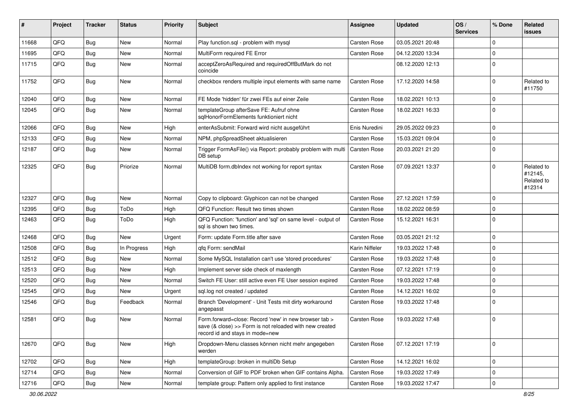| #     | Project | <b>Tracker</b> | <b>Status</b> | <b>Priority</b> | Subject                                                                                                                                             | Assignee            | <b>Updated</b>   | OS/<br><b>Services</b> | % Done      | Related<br>issues                             |
|-------|---------|----------------|---------------|-----------------|-----------------------------------------------------------------------------------------------------------------------------------------------------|---------------------|------------------|------------------------|-------------|-----------------------------------------------|
| 11668 | QFQ     | Bug            | <b>New</b>    | Normal          | Play function.sql - problem with mysql                                                                                                              | Carsten Rose        | 03.05.2021 20:48 |                        | $\Omega$    |                                               |
| 11695 | QFQ     | Bug            | <b>New</b>    | Normal          | MultiForm required FE Error                                                                                                                         | Carsten Rose        | 04.12.2020 13:34 |                        | $\Omega$    |                                               |
| 11715 | QFQ     | <b>Bug</b>     | New           | Normal          | acceptZeroAsRequired and requiredOffButMark do not<br>coincide                                                                                      |                     | 08.12.2020 12:13 |                        | $\Omega$    |                                               |
| 11752 | QFQ     | Bug            | <b>New</b>    | Normal          | checkbox renders multiple input elements with same name                                                                                             | Carsten Rose        | 17.12.2020 14:58 |                        | $\Omega$    | Related to<br>#11750                          |
| 12040 | QFQ     | Bug            | <b>New</b>    | Normal          | FE Mode 'hidden' für zwei FEs auf einer Zeile                                                                                                       | Carsten Rose        | 18.02.2021 10:13 |                        | $\Omega$    |                                               |
| 12045 | QFQ     | Bug            | New           | Normal          | templateGroup afterSave FE: Aufruf ohne<br>sqlHonorFormElements funktioniert nicht                                                                  | Carsten Rose        | 18.02.2021 16:33 |                        | $\Omega$    |                                               |
| 12066 | QFQ     | <b>Bug</b>     | <b>New</b>    | High            | enterAsSubmit: Forward wird nicht ausgeführt                                                                                                        | Enis Nuredini       | 29.05.2022 09:23 |                        | $\mathbf 0$ |                                               |
| 12133 | QFQ     | <b>Bug</b>     | <b>New</b>    | Normal          | NPM, phpSpreadSheet aktualisieren                                                                                                                   | Carsten Rose        | 15.03.2021 09:04 |                        | $\Omega$    |                                               |
| 12187 | QFQ     | <b>Bug</b>     | <b>New</b>    | Normal          | Trigger FormAsFile() via Report: probably problem with multi<br>DB setup                                                                            | <b>Carsten Rose</b> | 20.03.2021 21:20 |                        | $\Omega$    |                                               |
| 12325 | QFQ     | <b>Bug</b>     | Priorize      | Normal          | MultiDB form.dblndex not working for report syntax                                                                                                  | Carsten Rose        | 07.09.2021 13:37 |                        | $\Omega$    | Related to<br>#12145,<br>Related to<br>#12314 |
| 12327 | QFQ     | Bug            | <b>New</b>    | Normal          | Copy to clipboard: Glyphicon can not be changed                                                                                                     | Carsten Rose        | 27.12.2021 17:59 |                        | $\Omega$    |                                               |
| 12395 | QFQ     | Bug            | ToDo          | High            | QFQ Function: Result two times shown                                                                                                                | Carsten Rose        | 18.02.2022 08:59 |                        | $\Omega$    |                                               |
| 12463 | QFQ     | Bug            | ToDo          | High            | QFQ Function: 'function' and 'sql' on same level - output of<br>sal is shown two times.                                                             | Carsten Rose        | 15.12.2021 16:31 |                        | $\Omega$    |                                               |
| 12468 | QFQ     | Bug            | <b>New</b>    | Urgent          | Form: update Form.title after save                                                                                                                  | Carsten Rose        | 03.05.2021 21:12 |                        | $\Omega$    |                                               |
| 12508 | QFQ     | Bug            | In Progress   | High            | qfq Form: sendMail                                                                                                                                  | Karin Niffeler      | 19.03.2022 17:48 |                        | $\Omega$    |                                               |
| 12512 | QFQ     | Bug            | <b>New</b>    | Normal          | Some MySQL Installation can't use 'stored procedures'                                                                                               | Carsten Rose        | 19.03.2022 17:48 |                        | $\Omega$    |                                               |
| 12513 | QFQ     | <b>Bug</b>     | <b>New</b>    | High            | Implement server side check of maxlength                                                                                                            | Carsten Rose        | 07.12.2021 17:19 |                        | $\Omega$    |                                               |
| 12520 | QFQ     | Bug            | <b>New</b>    | Normal          | Switch FE User: still active even FE User session expired                                                                                           | Carsten Rose        | 19.03.2022 17:48 |                        | 0           |                                               |
| 12545 | QFQ     | Bug            | <b>New</b>    | Urgent          | sql.log not created / updated                                                                                                                       | Carsten Rose        | 14.12.2021 16:02 |                        | $\Omega$    |                                               |
| 12546 | QFQ     | Bug            | Feedback      | Normal          | Branch 'Development' - Unit Tests mit dirty workaround<br>angepasst                                                                                 | Carsten Rose        | 19.03.2022 17:48 |                        | $\Omega$    |                                               |
| 12581 | QFQ     | <b>Bug</b>     | New           | Normal          | Form.forward=close: Record 'new' in new browser tab ><br>save (& close) >> Form is not reloaded with new created<br>record id and stays in mode=new | <b>Carsten Rose</b> | 19.03.2022 17:48 |                        | $\Omega$    |                                               |
| 12670 | QFQ     | <b>Bug</b>     | New           | High            | Dropdown-Menu classes können nicht mehr angegeben<br>werden                                                                                         | Carsten Rose        | 07.12.2021 17:19 |                        | 0           |                                               |
| 12702 | QFQ     | <b>Bug</b>     | New           | High            | templateGroup: broken in multiDb Setup                                                                                                              | Carsten Rose        | 14.12.2021 16:02 |                        | 0           |                                               |
| 12714 | QFQ     | <b>Bug</b>     | <b>New</b>    | Normal          | Conversion of GIF to PDF broken when GIF contains Alpha.                                                                                            | Carsten Rose        | 19.03.2022 17:49 |                        | 0           |                                               |
| 12716 | QFQ     | <b>Bug</b>     | New           | Normal          | template group: Pattern only applied to first instance                                                                                              | Carsten Rose        | 19.03.2022 17:47 |                        | $\mathbf 0$ |                                               |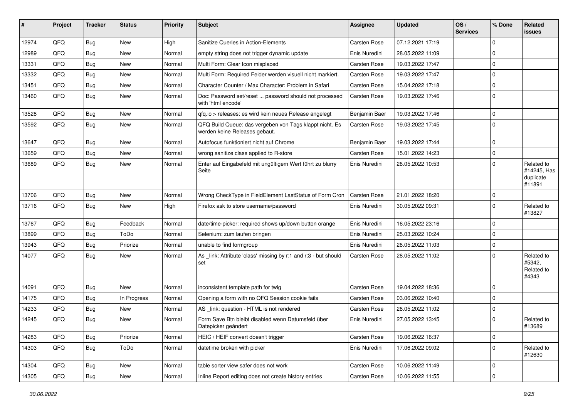| #     | Project | <b>Tracker</b> | <b>Status</b> | <b>Priority</b> | Subject                                                                                  | <b>Assignee</b>     | <b>Updated</b>   | OS/<br><b>Services</b> | % Done         | Related<br><b>issues</b>                         |
|-------|---------|----------------|---------------|-----------------|------------------------------------------------------------------------------------------|---------------------|------------------|------------------------|----------------|--------------------------------------------------|
| 12974 | QFQ     | Bug            | <b>New</b>    | High            | Sanitize Queries in Action-Elements                                                      | Carsten Rose        | 07.12.2021 17:19 |                        | $\mathbf 0$    |                                                  |
| 12989 | QFQ     | <b>Bug</b>     | <b>New</b>    | Normal          | empty string does not trigger dynamic update                                             | Enis Nuredini       | 28.05.2022 11:09 |                        | $\mathbf 0$    |                                                  |
| 13331 | QFQ     | <b>Bug</b>     | <b>New</b>    | Normal          | Multi Form: Clear Icon misplaced                                                         | Carsten Rose        | 19.03.2022 17:47 |                        | $\mathbf 0$    |                                                  |
| 13332 | QFQ     | Bug            | <b>New</b>    | Normal          | Multi Form: Required Felder werden visuell nicht markiert.                               | Carsten Rose        | 19.03.2022 17:47 |                        | $\mathbf 0$    |                                                  |
| 13451 | QFQ     | <b>Bug</b>     | <b>New</b>    | Normal          | Character Counter / Max Character: Problem in Safari                                     | Carsten Rose        | 15.04.2022 17:18 |                        | $\mathbf 0$    |                                                  |
| 13460 | QFQ     | <b>Bug</b>     | <b>New</b>    | Normal          | Doc: Password set/reset  password should not processed<br>with 'html encode'             | Carsten Rose        | 19.03.2022 17:46 |                        | $\Omega$       |                                                  |
| 13528 | QFQ     | <b>Bug</b>     | New           | Normal          | qfq.io > releases: es wird kein neues Release angelegt                                   | Benjamin Baer       | 19.03.2022 17:46 |                        | $\mathbf 0$    |                                                  |
| 13592 | QFQ     | <b>Bug</b>     | <b>New</b>    | Normal          | QFQ Build Queue: das vergeben von Tags klappt nicht. Es<br>werden keine Releases gebaut. | Carsten Rose        | 19.03.2022 17:45 |                        | 0              |                                                  |
| 13647 | QFQ     | <b>Bug</b>     | <b>New</b>    | Normal          | Autofocus funktioniert nicht auf Chrome                                                  | Benjamin Baer       | 19.03.2022 17:44 |                        | $\mathbf 0$    |                                                  |
| 13659 | QFQ     | Bug            | New           | Normal          | wrong sanitize class applied to R-store                                                  | Carsten Rose        | 15.01.2022 14:23 |                        | $\mathbf 0$    |                                                  |
| 13689 | QFQ     | <b>Bug</b>     | <b>New</b>    | Normal          | Enter auf Eingabefeld mit ungültigem Wert führt zu blurry<br>Seite                       | Enis Nuredini       | 28.05.2022 10:53 |                        | $\mathbf 0$    | Related to<br>#14245, Has<br>duplicate<br>#11891 |
| 13706 | QFQ     | <b>Bug</b>     | <b>New</b>    | Normal          | Wrong CheckType in FieldElement LastStatus of Form Cron                                  | Carsten Rose        | 21.01.2022 18:20 |                        | $\mathbf 0$    |                                                  |
| 13716 | QFQ     | <b>Bug</b>     | <b>New</b>    | High            | Firefox ask to store username/password                                                   | Enis Nuredini       | 30.05.2022 09:31 |                        | $\mathbf 0$    | Related to<br>#13827                             |
| 13767 | QFQ     | <b>Bug</b>     | Feedback      | Normal          | date/time-picker: required shows up/down button orange                                   | Enis Nuredini       | 16.05.2022 23:16 |                        | $\mathbf 0$    |                                                  |
| 13899 | QFQ     | <b>Bug</b>     | ToDo          | Normal          | Selenium: zum laufen bringen                                                             | Enis Nuredini       | 25.03.2022 10:24 |                        | $\mathbf 0$    |                                                  |
| 13943 | QFQ     | <b>Bug</b>     | Priorize      | Normal          | unable to find formgroup                                                                 | Enis Nuredini       | 28.05.2022 11:03 |                        | $\mathbf 0$    |                                                  |
| 14077 | QFQ     | Bug            | <b>New</b>    | Normal          | As _link: Attribute 'class' missing by r:1 and r:3 - but should<br>set                   | <b>Carsten Rose</b> | 28.05.2022 11:02 |                        | $\mathbf 0$    | Related to<br>#5342,<br>Related to<br>#4343      |
| 14091 | QFQ     | <b>Bug</b>     | <b>New</b>    | Normal          | inconsistent template path for twig                                                      | Carsten Rose        | 19.04.2022 18:36 |                        | $\mathbf 0$    |                                                  |
| 14175 | QFQ     | Bug            | In Progress   | Normal          | Opening a form with no QFQ Session cookie fails                                          | Carsten Rose        | 03.06.2022 10:40 |                        | $\overline{0}$ |                                                  |
| 14233 | QFQ     | <b>Bug</b>     | <b>New</b>    | Normal          | AS _link: question - HTML is not rendered                                                | Carsten Rose        | 28.05.2022 11:02 |                        | $\mathbf 0$    |                                                  |
| 14245 | QFQ     | <b>Bug</b>     | <b>New</b>    | Normal          | Form Save Btn bleibt disabled wenn Datumsfeld über<br>Datepicker geändert                | Enis Nuredini       | 27.05.2022 13:45 |                        | $\mathbf 0$    | Related to<br>#13689                             |
| 14283 | QFQ     | Bug            | Priorize      | Normal          | HEIC / HEIF convert doesn't trigger                                                      | Carsten Rose        | 19.06.2022 16:37 |                        | $\mathbf 0$    |                                                  |
| 14303 | QFQ     | <b>Bug</b>     | ToDo          | Normal          | datetime broken with picker                                                              | Enis Nuredini       | 17.06.2022 09:02 |                        | $\mathbf 0$    | Related to<br>#12630                             |
| 14304 | QFQ     | <b>Bug</b>     | New           | Normal          | table sorter view safer does not work                                                    | Carsten Rose        | 10.06.2022 11:49 |                        | $\mathbf 0$    |                                                  |
| 14305 | QFQ     | <b>Bug</b>     | New           | Normal          | Inline Report editing does not create history entries                                    | Carsten Rose        | 10.06.2022 11:55 |                        | $\mathbf 0$    |                                                  |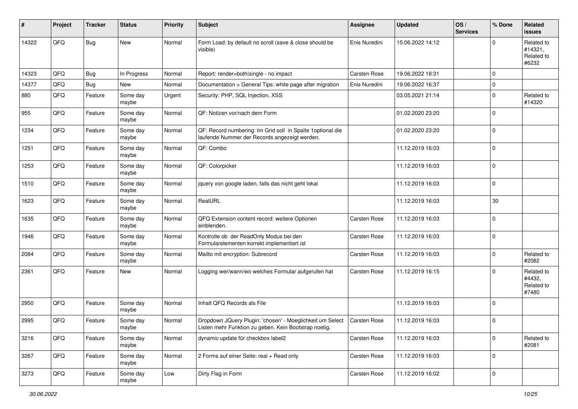| ∦     | Project | <b>Tracker</b> | <b>Status</b>     | <b>Priority</b> | <b>Subject</b>                                                                                                     | <b>Assignee</b> | <b>Updated</b>   | OS/<br><b>Services</b> | % Done      | Related<br><b>issues</b>                     |
|-------|---------|----------------|-------------------|-----------------|--------------------------------------------------------------------------------------------------------------------|-----------------|------------------|------------------------|-------------|----------------------------------------------|
| 14322 | QFQ     | <b>Bug</b>     | New               | Normal          | Form Load: by default no scroll (save & close should be<br>visible)                                                | Enis Nuredini   | 15.06.2022 14:12 |                        | $\mathbf 0$ | Related to<br>#14321,<br>Related to<br>#6232 |
| 14323 | QFQ     | <b>Bug</b>     | In Progress       | Normal          | Report: render=both single - no impact                                                                             | Carsten Rose    | 19.06.2022 18:31 |                        | $\mathbf 0$ |                                              |
| 14377 | QFQ     | <b>Bug</b>     | New               | Normal          | Documentation > General Tips: white page after migration                                                           | Enis Nuredini   | 19.06.2022 16:37 |                        | $\mathsf 0$ |                                              |
| 880   | QFQ     | Feature        | Some day<br>maybe | Urgent          | Security: PHP, SQL Injection, XSS                                                                                  |                 | 03.05.2021 21:14 |                        | $\mathbf 0$ | Related to<br>#14320                         |
| 955   | QFQ     | Feature        | Some day<br>maybe | Normal          | QF: Notizen vor/nach dem Form                                                                                      |                 | 01.02.2020 23:20 |                        | $\mathbf 0$ |                                              |
| 1234  | QFQ     | Feature        | Some day<br>maybe | Normal          | QF: Record numbering: Im Grid soll in Spalte 1 optional die<br>laufende Nummer der Records angezeigt werden.       |                 | 01.02.2020 23:20 |                        | $\mathbf 0$ |                                              |
| 1251  | QFQ     | Feature        | Some day<br>maybe | Normal          | QF: Combo                                                                                                          |                 | 11.12.2019 16:03 |                        | $\pmb{0}$   |                                              |
| 1253  | QFQ     | Feature        | Some day<br>maybe | Normal          | QF: Colorpicker                                                                                                    |                 | 11.12.2019 16:03 |                        | $\mathbf 0$ |                                              |
| 1510  | QFQ     | Feature        | Some day<br>maybe | Normal          | jquery von google laden, falls das nicht geht lokal                                                                |                 | 11.12.2019 16:03 |                        | $\mathbf 0$ |                                              |
| 1623  | QFQ     | Feature        | Some day<br>maybe | Normal          | RealURL                                                                                                            |                 | 11.12.2019 16:03 |                        | 30          |                                              |
| 1635  | QFQ     | Feature        | Some day<br>maybe | Normal          | QFQ Extension content record: weitere Optionen<br>einblenden.                                                      | Carsten Rose    | 11.12.2019 16:03 |                        | $\mathbf 0$ |                                              |
| 1946  | QFQ     | Feature        | Some day<br>maybe | Normal          | Kontrolle ob der ReadOnly Modus bei den<br>Formularelementen korrekt implementiert ist                             | Carsten Rose    | 11.12.2019 16:03 |                        | $\mathbf 0$ |                                              |
| 2084  | QFQ     | Feature        | Some day<br>maybe | Normal          | Mailto mit encryption: Subrecord                                                                                   | Carsten Rose    | 11.12.2019 16:03 |                        | $\mathbf 0$ | Related to<br>#2082                          |
| 2361  | QFQ     | Feature        | New               | Normal          | Logging wer/wann/wo welches Formular aufgerufen hat                                                                | Carsten Rose    | 11.12.2019 16:15 |                        | $\mathbf 0$ | Related to<br>#4432,<br>Related to<br>#7480  |
| 2950  | QFQ     | Feature        | Some day<br>maybe | Normal          | Inhalt QFQ Records als File                                                                                        |                 | 11.12.2019 16:03 |                        | $\mathbf 0$ |                                              |
| 2995  | QFQ     | Feature        | Some day<br>maybe | Normal          | Dropdown JQuery Plugin: 'chosen' - Moeglichkeit um Select<br>Listen mehr Funktion zu geben. Kein Bootstrap noetig. | Carsten Rose    | 11.12.2019 16:03 |                        | $\mathbf 0$ |                                              |
| 3216  | QFQ     | Feature        | Some day<br>maybe | Normal          | dynamic update für checkbox label2                                                                                 | Carsten Rose    | 11.12.2019 16:03 |                        | $\mathbf 0$ | Related to<br>#2081                          |
| 3267  | QFQ     | Feature        | Some day<br>maybe | Normal          | 2 Forms auf einer Seite: real + Read only                                                                          | Carsten Rose    | 11.12.2019 16:03 |                        | $\mathbf 0$ |                                              |
| 3273  | QFQ     | Feature        | Some day<br>maybe | Low             | Dirty Flag in Form                                                                                                 | Carsten Rose    | 11.12.2019 16:02 |                        | $\mathsf 0$ |                                              |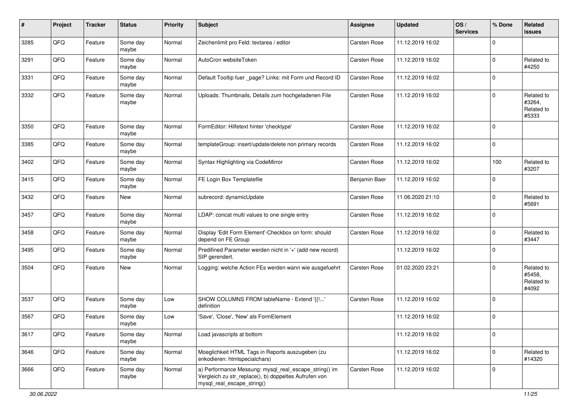| #    | Project | <b>Tracker</b> | <b>Status</b>     | <b>Priority</b> | <b>Subject</b>                                                                                                                               | <b>Assignee</b> | <b>Updated</b>   | OS/<br><b>Services</b> | % Done              | Related<br>issues                           |
|------|---------|----------------|-------------------|-----------------|----------------------------------------------------------------------------------------------------------------------------------------------|-----------------|------------------|------------------------|---------------------|---------------------------------------------|
| 3285 | QFQ     | Feature        | Some day<br>maybe | Normal          | Zeichenlimit pro Feld: textarea / editor                                                                                                     | Carsten Rose    | 11.12.2019 16:02 |                        | $\mathbf 0$         |                                             |
| 3291 | QFQ     | Feature        | Some day<br>maybe | Normal          | AutoCron websiteToken                                                                                                                        | Carsten Rose    | 11.12.2019 16:02 |                        | $\mathbf 0$         | Related to<br>#4250                         |
| 3331 | QFQ     | Feature        | Some day<br>maybe | Normal          | Default Tooltip fuer _page? Links: mit Form und Record ID                                                                                    | Carsten Rose    | 11.12.2019 16:02 |                        | $\mathbf 0$         |                                             |
| 3332 | QFQ     | Feature        | Some day<br>maybe | Normal          | Uploads: Thumbnails, Details zum hochgeladenen File                                                                                          | Carsten Rose    | 11.12.2019 16:02 |                        | $\mathbf 0$         | Related to<br>#3264,<br>Related to<br>#5333 |
| 3350 | QFQ     | Feature        | Some day<br>maybe | Normal          | FormEditor: Hilfetext hinter 'checktype'                                                                                                     | Carsten Rose    | 11.12.2019 16:02 |                        | $\mathbf 0$         |                                             |
| 3385 | QFQ     | Feature        | Some day<br>maybe | Normal          | templateGroup: insert/update/delete non primary records                                                                                      | Carsten Rose    | 11.12.2019 16:02 |                        | $\mathbf 0$         |                                             |
| 3402 | QFQ     | Feature        | Some day<br>maybe | Normal          | Syntax Highlighting via CodeMirror                                                                                                           | Carsten Rose    | 11.12.2019 16:02 |                        | 100                 | Related to<br>#3207                         |
| 3415 | QFQ     | Feature        | Some day<br>maybe | Normal          | FE Login Box Templatefile                                                                                                                    | Benjamin Baer   | 11.12.2019 16:02 |                        | $\mathbf 0$         |                                             |
| 3432 | QFQ     | Feature        | New               | Normal          | subrecord: dynamicUpdate                                                                                                                     | Carsten Rose    | 11.06.2020 21:10 |                        | $\mathbf 0$         | Related to<br>#5691                         |
| 3457 | QFQ     | Feature        | Some day<br>maybe | Normal          | LDAP: concat multi values to one single entry                                                                                                | Carsten Rose    | 11.12.2019 16:02 |                        | $\mathbf 0$         |                                             |
| 3458 | QFQ     | Feature        | Some day<br>maybe | Normal          | Display 'Edit Form Element'-Checkbox on form: should<br>depend on FE Group                                                                   | Carsten Rose    | 11.12.2019 16:02 |                        | $\mathbf 0$         | Related to<br>#3447                         |
| 3495 | QFQ     | Feature        | Some day<br>maybe | Normal          | Predifined Parameter werden nicht in '+' (add new record)<br>SIP gerendert.                                                                  |                 | 11.12.2019 16:02 |                        | $\mathbf 0$         |                                             |
| 3504 | QFQ     | Feature        | New               | Normal          | Logging: welche Action FEs werden wann wie ausgefuehrt                                                                                       | Carsten Rose    | 01.02.2020 23:21 |                        | $\mathbf 0$         | Related to<br>#5458,<br>Related to<br>#4092 |
| 3537 | QFQ     | Feature        | Some day<br>maybe | Low             | SHOW COLUMNS FROM tableName - Extend '{{!'<br>definition                                                                                     | Carsten Rose    | 11.12.2019 16:02 |                        | $\mathbf 0$         |                                             |
| 3567 | QFQ     | Feature        | Some day<br>maybe | Low             | 'Save', 'Close', 'New' als FormElement                                                                                                       |                 | 11.12.2019 16:02 |                        | $\mathbf 0$         |                                             |
| 3617 | QFG     | Feature        | Some day<br>maybe | Normal          | Load javascripts at bottom                                                                                                                   |                 | 11.12.2019 16:02 |                        | $\mathsf{O}\xspace$ |                                             |
| 3646 | QFQ     | Feature        | Some day<br>maybe | Normal          | Moeglichkeit HTML Tags in Reports auszugeben (zu<br>enkodieren: htmlspecialchars)                                                            |                 | 11.12.2019 16:02 |                        | $\mathbf 0$         | Related to<br>#14320                        |
| 3666 | QFG     | Feature        | Some day<br>maybe | Normal          | a) Performance Messung: mysql_real_escape_string() im<br>Vergleich zu str_replace(), b) doppeltes Aufrufen von<br>mysql_real_escape_string() | Carsten Rose    | 11.12.2019 16:02 |                        | $\mathbf 0$         |                                             |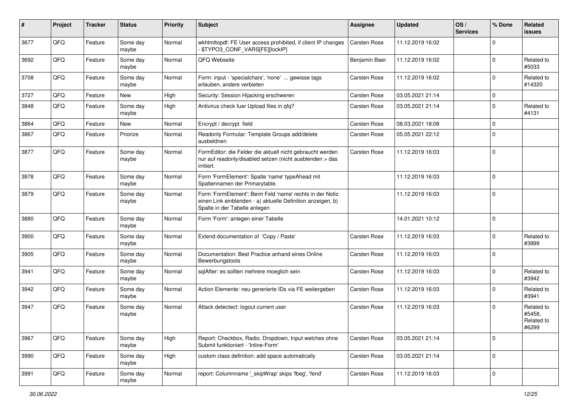| $\pmb{\#}$ | Project | <b>Tracker</b> | <b>Status</b>     | <b>Priority</b> | <b>Subject</b>                                                                                                                                           | <b>Assignee</b>     | <b>Updated</b>   | OS/<br><b>Services</b> | % Done      | Related<br>issues                           |
|------------|---------|----------------|-------------------|-----------------|----------------------------------------------------------------------------------------------------------------------------------------------------------|---------------------|------------------|------------------------|-------------|---------------------------------------------|
| 3677       | QFQ     | Feature        | Some day<br>maybe | Normal          | wkhtmltopdf: FE User access prohibited, if client IP changes<br>- \$TYPO3_CONF_VARS[FE][lockIP]                                                          | <b>Carsten Rose</b> | 11.12.2019 16:02 |                        | $\Omega$    |                                             |
| 3692       | QFQ     | Feature        | Some day<br>maybe | Normal          | QFQ Webseite                                                                                                                                             | Benjamin Baer       | 11.12.2019 16:02 |                        | $\Omega$    | Related to<br>#5033                         |
| 3708       | QFQ     | Feature        | Some day<br>maybe | Normal          | Form: input - 'specialchars', 'none'  gewisse tags<br>erlauben, andere verbieten                                                                         | Carsten Rose        | 11.12.2019 16:02 |                        | $\Omega$    | Related to<br>#14320                        |
| 3727       | QFQ     | Feature        | New               | High            | Security: Session Hijacking erschweren                                                                                                                   | Carsten Rose        | 03.05.2021 21:14 |                        | $\mathbf 0$ |                                             |
| 3848       | QFQ     | Feature        | Some day<br>maybe | High            | Antivirus check fuer Upload files in qfq?                                                                                                                | Carsten Rose        | 03.05.2021 21:14 |                        | $\Omega$    | Related to<br>#4131                         |
| 3864       | QFQ     | Feature        | New               | Normal          | Encrypt / decrypt field                                                                                                                                  | Carsten Rose        | 08.03.2021 18:08 |                        | $\mathbf 0$ |                                             |
| 3867       | QFQ     | Feature        | Priorize          | Normal          | Readonly Formular: Template Groups add/delete<br>ausbeldnen                                                                                              | Carsten Rose        | 05.05.2021 22:12 |                        | $\Omega$    |                                             |
| 3877       | QFQ     | Feature        | Some day<br>maybe | Normal          | FormEditor: die Felder die aktuell nicht gebraucht werden<br>nur auf readonly/disabled setzen (nicht ausblenden > das<br>irritiert.                      | Carsten Rose        | 11.12.2019 16:03 |                        | $\Omega$    |                                             |
| 3878       | QFQ     | Feature        | Some day<br>maybe | Normal          | Form 'FormElement': Spalte 'name' typeAhead mit<br>Spaltennamen der Primarytable.                                                                        |                     | 11.12.2019 16:03 |                        | $\Omega$    |                                             |
| 3879       | QFQ     | Feature        | Some day<br>maybe | Normal          | Form 'FormElement': Beim Feld 'name' rechts in der Notiz<br>einen Link einblenden - a) aktuelle Definition anzeigen, b)<br>Spalte in der Tabelle anlegen |                     | 11.12.2019 16:03 |                        | $\Omega$    |                                             |
| 3880       | QFQ     | Feature        | Some day<br>maybe | Normal          | Form 'Form': anlegen einer Tabelle                                                                                                                       |                     | 14.01.2021 10:12 |                        | l O         |                                             |
| 3900       | QFQ     | Feature        | Some day<br>maybe | Normal          | Extend documentation of 'Copy / Paste'                                                                                                                   | Carsten Rose        | 11.12.2019 16:03 |                        | $\Omega$    | Related to<br>#3899                         |
| 3905       | QFQ     | Feature        | Some day<br>maybe | Normal          | Documentation: Best Practice anhand eines Online<br>Bewerbungstools                                                                                      | Carsten Rose        | 11.12.2019 16:03 |                        | $\Omega$    |                                             |
| 3941       | QFQ     | Feature        | Some day<br>maybe | Normal          | sqlAfter: es sollten mehrere moeglich sein                                                                                                               | Carsten Rose        | 11.12.2019 16:03 |                        | $\Omega$    | Related to<br>#3942                         |
| 3942       | QFQ     | Feature        | Some day<br>maybe | Normal          | Action Elemente: neu generierte IDs via FE weitergeben                                                                                                   | Carsten Rose        | 11.12.2019 16:03 |                        | $\Omega$    | Related to<br>#3941                         |
| 3947       | QFQ     | Feature        | Some day<br>maybe | Normal          | Attack detectect: logout current user                                                                                                                    | Carsten Rose        | 11.12.2019 16:03 |                        | $\Omega$    | Related to<br>#5458,<br>Related to<br>#6299 |
| 3967       | QFQ     | Feature        | Some day<br>maybe | High            | Report: Checkbox, Radio, Dropdown, Input welches ohne<br>Submit funktioniert - 'Inline-Form'                                                             | Carsten Rose        | 03.05.2021 21:14 |                        | l 0         |                                             |
| 3990       | QFQ     | Feature        | Some day<br>maybe | High            | custom class definition: add space automatically                                                                                                         | Carsten Rose        | 03.05.2021 21:14 |                        | l 0         |                                             |
| 3991       | QFQ     | Feature        | Some day<br>maybe | Normal          | report: Columnname ' skipWrap' skips 'fbeg', 'fend'                                                                                                      | Carsten Rose        | 11.12.2019 16:03 |                        | $\mathbf 0$ |                                             |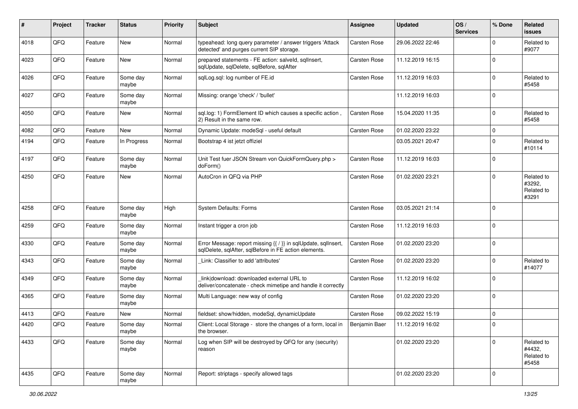| $\sharp$ | Project | <b>Tracker</b> | <b>Status</b>     | <b>Priority</b> | <b>Subject</b>                                                                                                          | <b>Assignee</b> | <b>Updated</b>   | OS/<br><b>Services</b> | % Done      | Related<br><b>issues</b>                    |
|----------|---------|----------------|-------------------|-----------------|-------------------------------------------------------------------------------------------------------------------------|-----------------|------------------|------------------------|-------------|---------------------------------------------|
| 4018     | QFQ     | Feature        | New               | Normal          | typeahead: long query parameter / answer triggers 'Attack<br>detected' and purges current SIP storage.                  | Carsten Rose    | 29.06.2022 22:46 |                        | $\mathbf 0$ | Related to<br>#9077                         |
| 4023     | QFQ     | Feature        | New               | Normal          | prepared statements - FE action: salveld, sqlInsert,<br>sqlUpdate, sqlDelete, sqlBefore, sqlAfter                       | Carsten Rose    | 11.12.2019 16:15 |                        | $\mathbf 0$ |                                             |
| 4026     | QFQ     | Feature        | Some day<br>maybe | Normal          | sqlLog.sql: log number of FE.id                                                                                         | Carsten Rose    | 11.12.2019 16:03 |                        | $\mathbf 0$ | Related to<br>#5458                         |
| 4027     | QFQ     | Feature        | Some day<br>maybe | Normal          | Missing: orange 'check' / 'bullet'                                                                                      |                 | 11.12.2019 16:03 |                        | $\mathbf 0$ |                                             |
| 4050     | QFQ     | Feature        | New               | Normal          | sql.log: 1) FormElement ID which causes a specific action,<br>2) Result in the same row.                                | Carsten Rose    | 15.04.2020 11:35 |                        | $\mathbf 0$ | Related to<br>#5458                         |
| 4082     | QFQ     | Feature        | New               | Normal          | Dynamic Update: modeSql - useful default                                                                                | Carsten Rose    | 01.02.2020 23:22 |                        | $\mathsf 0$ |                                             |
| 4194     | QFQ     | Feature        | In Progress       | Normal          | Bootstrap 4 ist jetzt offiziel                                                                                          |                 | 03.05.2021 20:47 |                        | $\mathbf 0$ | Related to<br>#10114                        |
| 4197     | QFQ     | Feature        | Some day<br>maybe | Normal          | Unit Test fuer JSON Stream von QuickFormQuery.php ><br>doForm()                                                         | Carsten Rose    | 11.12.2019 16:03 |                        | $\mathbf 0$ |                                             |
| 4250     | QFQ     | Feature        | New               | Normal          | AutoCron in QFQ via PHP                                                                                                 | Carsten Rose    | 01.02.2020 23:21 |                        | $\mathbf 0$ | Related to<br>#3292,<br>Related to<br>#3291 |
| 4258     | QFQ     | Feature        | Some day<br>maybe | High            | System Defaults: Forms                                                                                                  | Carsten Rose    | 03.05.2021 21:14 |                        | $\mathbf 0$ |                                             |
| 4259     | QFQ     | Feature        | Some day<br>maybe | Normal          | Instant trigger a cron job                                                                                              | Carsten Rose    | 11.12.2019 16:03 |                        | $\mathbf 0$ |                                             |
| 4330     | QFQ     | Feature        | Some day<br>maybe | Normal          | Error Message: report missing {{ / }} in sqlUpdate, sqlInsert,<br>sqlDelete, sqlAfter, sqlBefore in FE action elements. | Carsten Rose    | 01.02.2020 23:20 |                        | $\mathbf 0$ |                                             |
| 4343     | QFQ     | Feature        | Some day<br>maybe | Normal          | Link: Classifier to add 'attributes'                                                                                    | Carsten Rose    | 01.02.2020 23:20 |                        | 0           | Related to<br>#14077                        |
| 4349     | QFQ     | Feature        | Some day<br>maybe | Normal          | link download: downloaded external URL to<br>deliver/concatenate - check mimetipe and handle it correctly               | Carsten Rose    | 11.12.2019 16:02 |                        | $\mathbf 0$ |                                             |
| 4365     | QFQ     | Feature        | Some day<br>maybe | Normal          | Multi Language: new way of config                                                                                       | Carsten Rose    | 01.02.2020 23:20 |                        | $\mathbf 0$ |                                             |
| 4413     | QFQ     | Feature        | New               | Normal          | fieldset: show/hidden, modeSql, dynamicUpdate                                                                           | Carsten Rose    | 09.02.2022 15:19 |                        | $\mathbf 0$ |                                             |
| 4420     | QFQ     | Feature        | Some day<br>maybe | Normal          | Client: Local Storage - store the changes of a form, local in<br>the browser.                                           | Benjamin Baer   | 11.12.2019 16:02 |                        | $\Omega$    |                                             |
| 4433     | QFQ     | Feature        | Some day<br>maybe | Normal          | Log when SIP will be destroyed by QFQ for any (security)<br>reason                                                      |                 | 01.02.2020 23:20 |                        | $\mathbf 0$ | Related to<br>#4432,<br>Related to<br>#5458 |
| 4435     | QFQ     | Feature        | Some day<br>maybe | Normal          | Report: striptags - specify allowed tags                                                                                |                 | 01.02.2020 23:20 |                        | $\mathbf 0$ |                                             |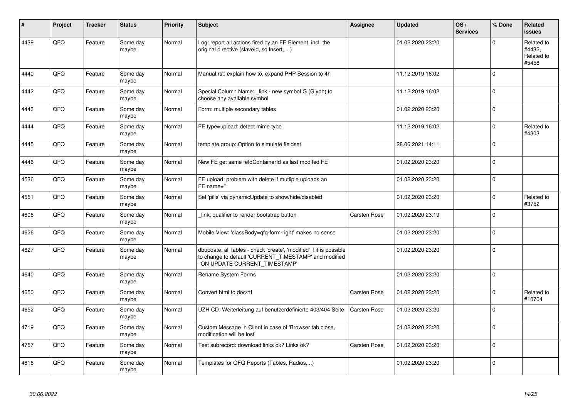| #    | <b>Project</b> | <b>Tracker</b> | <b>Status</b>     | <b>Priority</b> | <b>Subject</b>                                                                                                                                                | Assignee            | <b>Updated</b>   | OS/<br><b>Services</b> | % Done      | Related<br>issues                           |
|------|----------------|----------------|-------------------|-----------------|---------------------------------------------------------------------------------------------------------------------------------------------------------------|---------------------|------------------|------------------------|-------------|---------------------------------------------|
| 4439 | QFQ            | Feature        | Some day<br>maybe | Normal          | Log: report all actions fired by an FE Element, incl. the<br>original directive (slaveld, sqllnsert, )                                                        |                     | 01.02.2020 23:20 |                        | $\Omega$    | Related to<br>#4432,<br>Related to<br>#5458 |
| 4440 | QFQ            | Feature        | Some day<br>maybe | Normal          | Manual.rst: explain how to. expand PHP Session to 4h                                                                                                          |                     | 11.12.2019 16:02 |                        | $\Omega$    |                                             |
| 4442 | QFQ            | Feature        | Some day<br>maybe | Normal          | Special Column Name: link - new symbol G (Glyph) to<br>choose any available symbol                                                                            |                     | 11.12.2019 16:02 |                        | $\Omega$    |                                             |
| 4443 | QFQ            | Feature        | Some day<br>maybe | Normal          | Form: multiple secondary tables                                                                                                                               |                     | 01.02.2020 23:20 |                        | $\Omega$    |                                             |
| 4444 | QFQ            | Feature        | Some day<br>maybe | Normal          | FE.type=upload: detect mime type                                                                                                                              |                     | 11.12.2019 16:02 |                        | $\Omega$    | Related to<br>#4303                         |
| 4445 | QFQ            | Feature        | Some day<br>maybe | Normal          | template group: Option to simulate fieldset                                                                                                                   |                     | 28.06.2021 14:11 |                        | $\Omega$    |                                             |
| 4446 | QFQ            | Feature        | Some day<br>maybe | Normal          | New FE get same feldContainerId as last modifed FE                                                                                                            |                     | 01.02.2020 23:20 |                        | $\Omega$    |                                             |
| 4536 | QFQ            | Feature        | Some day<br>maybe | Normal          | FE upload: problem with delete if mutliple uploads an<br>FE.name="                                                                                            |                     | 01.02.2020 23:20 |                        | $\Omega$    |                                             |
| 4551 | QFQ            | Feature        | Some day<br>maybe | Normal          | Set 'pills' via dynamicUpdate to show/hide/disabled                                                                                                           |                     | 01.02.2020 23:20 |                        | $\mathbf 0$ | Related to<br>#3752                         |
| 4606 | QFQ            | Feature        | Some day<br>maybe | Normal          | link: qualifier to render bootstrap button                                                                                                                    | <b>Carsten Rose</b> | 01.02.2020 23:19 |                        | $\Omega$    |                                             |
| 4626 | QFQ            | Feature        | Some day<br>maybe | Normal          | Mobile View: 'classBody=qfq-form-right' makes no sense                                                                                                        |                     | 01.02.2020 23:20 |                        | $\Omega$    |                                             |
| 4627 | QFQ            | Feature        | Some day<br>maybe | Normal          | dbupdate: all tables - check 'create', 'modified' if it is possible<br>to change to default 'CURRENT_TIMESTAMP' and modified<br>'ON UPDATE CURRENT_TIMESTAMP' |                     | 01.02.2020 23:20 |                        | $\Omega$    |                                             |
| 4640 | QFQ            | Feature        | Some day<br>maybe | Normal          | Rename System Forms                                                                                                                                           |                     | 01.02.2020 23:20 |                        | $\pmb{0}$   |                                             |
| 4650 | QFQ            | Feature        | Some day<br>maybe | Normal          | Convert html to doc/rtf                                                                                                                                       | Carsten Rose        | 01.02.2020 23:20 |                        | $\Omega$    | Related to<br>#10704                        |
| 4652 | QFQ            | Feature        | Some day<br>maybe | Normal          | UZH CD: Weiterleitung auf benutzerdefinierte 403/404 Seite                                                                                                    | Carsten Rose        | 01.02.2020 23:20 |                        | $\Omega$    |                                             |
| 4719 | QFQ            | Feature        | Some day<br>maybe | Normal          | Custom Message in Client in case of 'Browser tab close,<br>modification will be lost'                                                                         |                     | 01.02.2020 23:20 |                        | $\Omega$    |                                             |
| 4757 | QFQ            | Feature        | Some day<br>maybe | Normal          | Test subrecord: download links ok? Links ok?                                                                                                                  | <b>Carsten Rose</b> | 01.02.2020 23:20 |                        | $\Omega$    |                                             |
| 4816 | QFQ            | Feature        | Some day<br>maybe | Normal          | Templates for QFQ Reports (Tables, Radios, )                                                                                                                  |                     | 01.02.2020 23:20 |                        | $\Omega$    |                                             |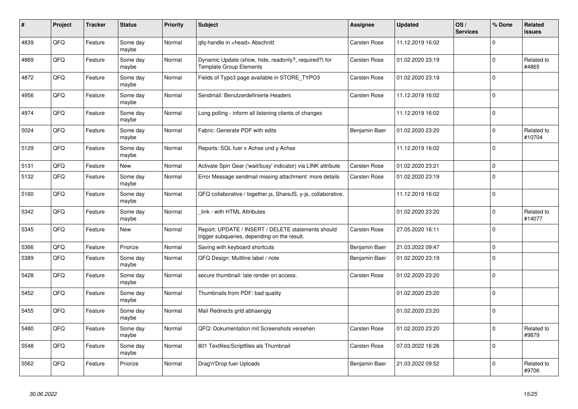| #    | Project | <b>Tracker</b> | <b>Status</b>     | <b>Priority</b> | <b>Subject</b>                                                                                     | Assignee            | <b>Updated</b>   | OS/<br><b>Services</b> | % Done      | Related<br><b>issues</b> |
|------|---------|----------------|-------------------|-----------------|----------------------------------------------------------------------------------------------------|---------------------|------------------|------------------------|-------------|--------------------------|
| 4839 | QFQ     | Feature        | Some day<br>maybe | Normal          | qfq-handle in <head> Abschnitt</head>                                                              | Carsten Rose        | 11.12.2019 16:02 |                        | $\Omega$    |                          |
| 4869 | QFQ     | Feature        | Some day<br>maybe | Normal          | Dynamic Update (show, hide, readonly?, required?) for<br><b>Template Group Elements</b>            | Carsten Rose        | 01.02.2020 23:19 |                        | $\Omega$    | Related to<br>#4865      |
| 4872 | QFQ     | Feature        | Some day<br>maybe | Normal          | Fields of Typo3 page available in STORE_TYPO3                                                      | Carsten Rose        | 01.02.2020 23:19 |                        | $\Omega$    |                          |
| 4956 | QFQ     | Feature        | Some day<br>maybe | Normal          | Sendmail: Benutzerdefinierte Headers                                                               | Carsten Rose        | 11.12.2019 16:02 |                        | $\Omega$    |                          |
| 4974 | QFQ     | Feature        | Some day<br>maybe | Normal          | Long polling - inform all listening clients of changes                                             |                     | 11.12.2019 16:02 |                        | $\Omega$    |                          |
| 5024 | QFQ     | Feature        | Some day<br>maybe | Normal          | Fabric: Generate PDF with edits                                                                    | Benjamin Baer       | 01.02.2020 23:20 |                        | $\Omega$    | Related to<br>#10704     |
| 5129 | QFQ     | Feature        | Some day<br>maybe | Normal          | Reports: SQL fuer x Achse und y Achse                                                              |                     | 11.12.2019 16:02 |                        | $\Omega$    |                          |
| 5131 | QFQ     | Feature        | New               | Normal          | Activate Spin Gear ('wait/busy' indicator) via LINK attribute                                      | <b>Carsten Rose</b> | 01.02.2020 23:21 |                        | $\mathbf 0$ |                          |
| 5132 | QFQ     | Feature        | Some day<br>maybe | Normal          | Error Message sendmail missing attachment: more details                                            | Carsten Rose        | 01.02.2020 23:19 |                        | $\Omega$    |                          |
| 5160 | QFQ     | Feature        | Some day<br>maybe | Normal          | QFQ collaborative / together.js, ShareJS, y-js, collaborative,                                     |                     | 11.12.2019 16:02 |                        | $\mathbf 0$ |                          |
| 5342 | QFQ     | Feature        | Some day<br>maybe | Normal          | link - with HTML Attributes                                                                        |                     | 01.02.2020 23:20 |                        | $\mathbf 0$ | Related to<br>#14077     |
| 5345 | QFQ     | Feature        | New               | Normal          | Report: UPDATE / INSERT / DELETE statements should<br>trigger subqueries, depending on the result. | Carsten Rose        | 27.05.2020 16:11 |                        | $\Omega$    |                          |
| 5366 | QFQ     | Feature        | Priorize          | Normal          | Saving with keyboard shortcuts                                                                     | Benjamin Baer       | 21.03.2022 09:47 |                        | $\Omega$    |                          |
| 5389 | QFQ     | Feature        | Some day<br>maybe | Normal          | QFQ Design: Multline label / note                                                                  | Benjamin Baer       | 01.02.2020 23:19 |                        | $\Omega$    |                          |
| 5428 | QFQ     | Feature        | Some day<br>maybe | Normal          | secure thumbnail: late render on access.                                                           | Carsten Rose        | 01.02.2020 23:20 |                        | l O         |                          |
| 5452 | QFQ     | Feature        | Some day<br>maybe | Normal          | Thumbnails from PDF: bad quality                                                                   |                     | 01.02.2020 23:20 |                        | $\Omega$    |                          |
| 5455 | QFQ     | Feature        | Some day<br>maybe | Normal          | Mail Redirects grld abhaengig                                                                      |                     | 01.02.2020 23:20 |                        | $\Omega$    |                          |
| 5480 | QFQ     | Feature        | Some day<br>maybe | Normal          | QFQ: Dokumentation mit Screenshots versehen                                                        | Carsten Rose        | 01.02.2020 23:20 |                        | $\Omega$    | Related to<br>#9879      |
| 5548 | QFQ     | Feature        | Some day<br>maybe | Normal          | 801 Textfiles/Scriptfiles als Thumbnail                                                            | Carsten Rose        | 07.03.2022 16:26 |                        | $\Omega$    |                          |
| 5562 | QFQ     | Feature        | Priorize          | Normal          | Drag'n'Drop fuer Uploads                                                                           | Benjamin Baer       | 21.03.2022 09:52 |                        | $\Omega$    | Related to<br>#9706      |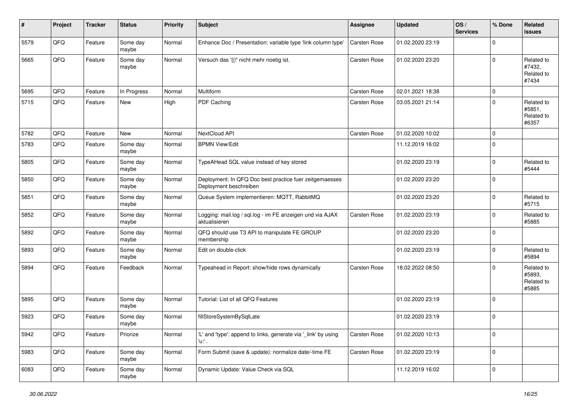| #    | Project | <b>Tracker</b> | <b>Status</b>     | <b>Priority</b> | <b>Subject</b>                                                                    | <b>Assignee</b> | <b>Updated</b>   | OS/<br><b>Services</b> | % Done      | Related<br><b>issues</b>                    |
|------|---------|----------------|-------------------|-----------------|-----------------------------------------------------------------------------------|-----------------|------------------|------------------------|-------------|---------------------------------------------|
| 5579 | QFQ     | Feature        | Some day<br>maybe | Normal          | Enhance Doc / Presentation: variable type 'link column type'                      | Carsten Rose    | 01.02.2020 23:19 |                        | $\mathbf 0$ |                                             |
| 5665 | QFQ     | Feature        | Some day<br>maybe | Normal          | Versuch das '{{!' nicht mehr noetig ist.                                          | Carsten Rose    | 01.02.2020 23:20 |                        | $\mathbf 0$ | Related to<br>#7432,<br>Related to<br>#7434 |
| 5695 | QFQ     | Feature        | In Progress       | Normal          | Multiform                                                                         | Carsten Rose    | 02.01.2021 18:38 |                        | $\mathsf 0$ |                                             |
| 5715 | QFQ     | Feature        | New               | High            | PDF Caching                                                                       | Carsten Rose    | 03.05.2021 21:14 |                        | $\mathbf 0$ | Related to<br>#5851,<br>Related to<br>#6357 |
| 5782 | QFQ     | Feature        | <b>New</b>        | Normal          | NextCloud API                                                                     | Carsten Rose    | 01.02.2020 10:02 |                        | $\mathbf 0$ |                                             |
| 5783 | QFQ     | Feature        | Some day<br>maybe | Normal          | <b>BPMN View/Edit</b>                                                             |                 | 11.12.2019 16:02 |                        | $\mathbf 0$ |                                             |
| 5805 | QFQ     | Feature        | Some day<br>maybe | Normal          | TypeAHead SQL value instead of key stored                                         |                 | 01.02.2020 23:19 |                        | $\mathbf 0$ | Related to<br>#5444                         |
| 5850 | QFQ     | Feature        | Some day<br>maybe | Normal          | Deployment: In QFQ Doc best practice fuer zeitgemaesses<br>Deployment beschreiben |                 | 01.02.2020 23:20 |                        | $\mathbf 0$ |                                             |
| 5851 | QFQ     | Feature        | Some day<br>maybe | Normal          | Queue System implementieren: MQTT, RabbitMQ                                       |                 | 01.02.2020 23:20 |                        | $\pmb{0}$   | Related to<br>#5715                         |
| 5852 | QFQ     | Feature        | Some day<br>maybe | Normal          | Logging: mail.log / sql.log - im FE anzeigen und via AJAX<br>aktualisieren        | Carsten Rose    | 01.02.2020 23:19 |                        | $\mathbf 0$ | Related to<br>#5885                         |
| 5892 | QFQ     | Feature        | Some day<br>maybe | Normal          | QFQ should use T3 API to manipulate FE GROUP<br>membership                        |                 | 01.02.2020 23:20 |                        | $\pmb{0}$   |                                             |
| 5893 | QFQ     | Feature        | Some day<br>maybe | Normal          | Edit on double-click                                                              |                 | 01.02.2020 23:19 |                        | $\mathbf 0$ | Related to<br>#5894                         |
| 5894 | QFQ     | Feature        | Feedback          | Normal          | Typeahead in Report: show/hide rows dynamically                                   | Carsten Rose    | 18.02.2022 08:50 |                        | $\mathbf 0$ | Related to<br>#5893,<br>Related to<br>#5885 |
| 5895 | QFQ     | Feature        | Some day<br>maybe | Normal          | Tutorial: List of all QFQ Features                                                |                 | 01.02.2020 23:19 |                        | $\mathbf 0$ |                                             |
| 5923 | QFQ     | Feature        | Some day<br>maybe | Normal          | fillStoreSystemBySqlLate                                                          |                 | 01.02.2020 23:19 |                        | $\mathbf 0$ |                                             |
| 5942 | QFQ     | Feature        | Priorize          | Normal          | 'L' and 'type': append to links, generate via '_link' by using<br>'u:' .          | Carsten Rose    | 01.02.2020 10:13 |                        | $\mathsf 0$ |                                             |
| 5983 | QFQ     | Feature        | Some day<br>maybe | Normal          | Form Submit (save & update): normalize date/-time FE                              | Carsten Rose    | 01.02.2020 23:19 |                        | $\mathsf 0$ |                                             |
| 6083 | QFQ     | Feature        | Some day<br>maybe | Normal          | Dynamic Update: Value Check via SQL                                               |                 | 11.12.2019 16:02 |                        | $\mathbf 0$ |                                             |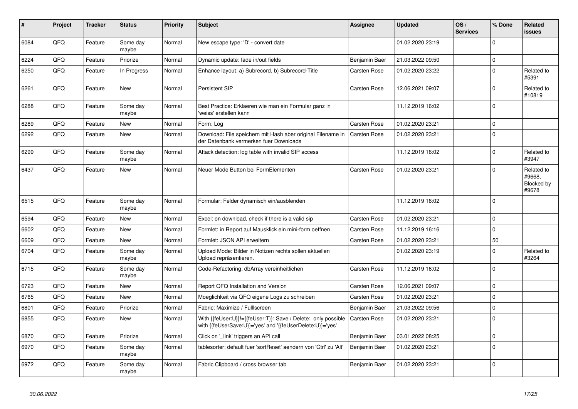| $\pmb{\#}$ | <b>Project</b> | <b>Tracker</b> | <b>Status</b>     | <b>Priority</b> | <b>Subject</b>                                                                                                             | Assignee            | <b>Updated</b>   | OS/<br><b>Services</b> | % Done      | <b>Related</b><br><b>issues</b>             |
|------------|----------------|----------------|-------------------|-----------------|----------------------------------------------------------------------------------------------------------------------------|---------------------|------------------|------------------------|-------------|---------------------------------------------|
| 6084       | QFQ            | Feature        | Some day<br>maybe | Normal          | New escape type: 'D' - convert date                                                                                        |                     | 01.02.2020 23:19 |                        | $\Omega$    |                                             |
| 6224       | QFQ            | Feature        | Priorize          | Normal          | Dynamic update: fade in/out fields                                                                                         | Benjamin Baer       | 21.03.2022 09:50 |                        | $\mathbf 0$ |                                             |
| 6250       | QFQ            | Feature        | In Progress       | Normal          | Enhance layout: a) Subrecord, b) Subrecord-Title                                                                           | Carsten Rose        | 01.02.2020 23:22 |                        | $\Omega$    | Related to<br>#5391                         |
| 6261       | QFQ            | Feature        | New               | Normal          | Persistent SIP                                                                                                             | Carsten Rose        | 12.06.2021 09:07 |                        | $\Omega$    | Related to<br>#10819                        |
| 6288       | QFQ            | Feature        | Some day<br>maybe | Normal          | Best Practice: Erklaeren wie man ein Formular ganz in<br>'weiss' erstellen kann                                            |                     | 11.12.2019 16:02 |                        | $\Omega$    |                                             |
| 6289       | QFQ            | Feature        | New               | Normal          | Form: Log                                                                                                                  | Carsten Rose        | 01.02.2020 23:21 |                        | $\mathbf 0$ |                                             |
| 6292       | QFQ            | Feature        | New               | Normal          | Download: File speichern mit Hash aber original Filename in<br>der Datenbank vermerken fuer Downloads                      | <b>Carsten Rose</b> | 01.02.2020 23:21 |                        | $\Omega$    |                                             |
| 6299       | QFQ            | Feature        | Some day<br>maybe | Normal          | Attack detection: log table with invalid SIP access                                                                        |                     | 11.12.2019 16:02 |                        | $\Omega$    | Related to<br>#3947                         |
| 6437       | QFQ            | Feature        | New               | Normal          | Neuer Mode Button bei FormElementen                                                                                        | <b>Carsten Rose</b> | 01.02.2020 23:21 |                        | $\Omega$    | Related to<br>#9668,<br>Blocked by<br>#9678 |
| 6515       | QFQ            | Feature        | Some day<br>maybe | Normal          | Formular: Felder dynamisch ein/ausblenden                                                                                  |                     | 11.12.2019 16:02 |                        | $\Omega$    |                                             |
| 6594       | QFQ            | Feature        | New               | Normal          | Excel: on download, check if there is a valid sip                                                                          | <b>Carsten Rose</b> | 01.02.2020 23:21 |                        | $\mathbf 0$ |                                             |
| 6602       | QFQ            | Feature        | New               | Normal          | Formlet: in Report auf Mausklick ein mini-form oeffnen                                                                     | <b>Carsten Rose</b> | 11.12.2019 16:16 |                        | $\Omega$    |                                             |
| 6609       | QFQ            | Feature        | New               | Normal          | Formlet: JSON API erweitern                                                                                                | Carsten Rose        | 01.02.2020 23:21 |                        | 50          |                                             |
| 6704       | QFQ            | Feature        | Some day<br>maybe | Normal          | Upload Mode: Bilder in Notizen rechts sollen aktuellen<br>Upload repräsentieren.                                           |                     | 01.02.2020 23:19 |                        | $\Omega$    | Related to<br>#3264                         |
| 6715       | QFQ            | Feature        | Some day<br>maybe | Normal          | Code-Refactoring: dbArray vereinheitlichen                                                                                 | <b>Carsten Rose</b> | 11.12.2019 16:02 |                        | $\Omega$    |                                             |
| 6723       | QFQ            | Feature        | <b>New</b>        | Normal          | Report QFQ Installation and Version                                                                                        | Carsten Rose        | 12.06.2021 09:07 |                        | $\mathbf 0$ |                                             |
| 6765       | QFQ            | Feature        | New               | Normal          | Moeglichkeit via QFQ eigene Logs zu schreiben                                                                              | Carsten Rose        | 01.02.2020 23:21 |                        | $\Omega$    |                                             |
| 6801       | QFQ            | Feature        | Priorize          | Normal          | Fabric: Maximize / FullIscreen                                                                                             | Benjamin Baer       | 21.03.2022 09:56 |                        | 0           |                                             |
| 6855       | QFQ            | Feature        | <b>New</b>        | Normal          | With {{feUser:U}}!={{feUser:T}}: Save / Delete: only possible<br>with {{feUserSave:U}}='yes' and '{{feUserDelete:U}}='yes' | <b>Carsten Rose</b> | 01.02.2020 23:21 |                        | $\Omega$    |                                             |
| 6870       | QFQ            | Feature        | Priorize          | Normal          | Click on '_link' triggers an API call                                                                                      | Benjamin Baer       | 03.01.2022 08:25 |                        | $\Omega$    |                                             |
| 6970       | QFQ            | Feature        | Some day<br>maybe | Normal          | tablesorter: default fuer 'sortReset' aendern von 'Ctrl' zu 'Alt'                                                          | Benjamin Baer       | 01.02.2020 23:21 |                        | $\Omega$    |                                             |
| 6972       | QFQ            | Feature        | Some day<br>maybe | Normal          | Fabric Clipboard / cross browser tab                                                                                       | Benjamin Baer       | 01.02.2020 23:21 |                        | $\mathbf 0$ |                                             |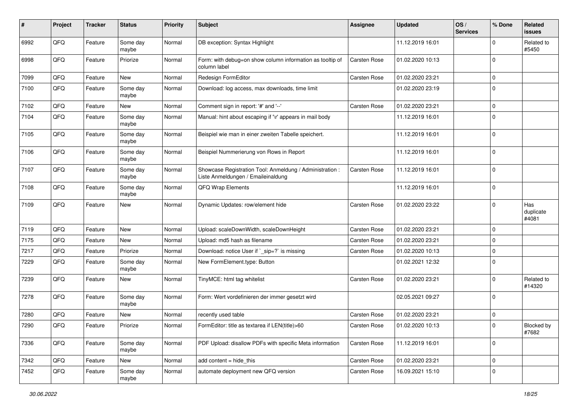| #    | Project | <b>Tracker</b> | <b>Status</b>     | <b>Priority</b> | <b>Subject</b>                                                                                 | <b>Assignee</b>     | <b>Updated</b>   | OS/<br><b>Services</b> | % Done      | Related<br><b>issues</b>  |
|------|---------|----------------|-------------------|-----------------|------------------------------------------------------------------------------------------------|---------------------|------------------|------------------------|-------------|---------------------------|
| 6992 | QFQ     | Feature        | Some day<br>maybe | Normal          | DB exception: Syntax Highlight                                                                 |                     | 11.12.2019 16:01 |                        | $\Omega$    | Related to<br>#5450       |
| 6998 | QFQ     | Feature        | Priorize          | Normal          | Form: with debug=on show column information as tooltip of<br>column label                      | Carsten Rose        | 01.02.2020 10:13 |                        | $\mathbf 0$ |                           |
| 7099 | QFQ     | Feature        | New               | Normal          | Redesign FormEditor                                                                            | Carsten Rose        | 01.02.2020 23:21 |                        | $\Omega$    |                           |
| 7100 | QFQ     | Feature        | Some day<br>maybe | Normal          | Download: log access, max downloads, time limit                                                |                     | 01.02.2020 23:19 |                        | $\Omega$    |                           |
| 7102 | QFQ     | Feature        | New               | Normal          | Comment sign in report: '#' and '--'                                                           | Carsten Rose        | 01.02.2020 23:21 |                        | $\Omega$    |                           |
| 7104 | QFQ     | Feature        | Some day<br>maybe | Normal          | Manual: hint about escaping if '\r' appears in mail body                                       |                     | 11.12.2019 16:01 |                        | $\Omega$    |                           |
| 7105 | QFQ     | Feature        | Some day<br>maybe | Normal          | Beispiel wie man in einer zweiten Tabelle speichert.                                           |                     | 11.12.2019 16:01 |                        | $\mathbf 0$ |                           |
| 7106 | QFQ     | Feature        | Some day<br>maybe | Normal          | Beispiel Nummerierung von Rows in Report                                                       |                     | 11.12.2019 16:01 |                        | $\Omega$    |                           |
| 7107 | QFQ     | Feature        | Some day<br>maybe | Normal          | Showcase Registration Tool: Anmeldung / Administration :<br>Liste Anmeldungen / Emaileinaldung | Carsten Rose        | 11.12.2019 16:01 |                        | $\mathbf 0$ |                           |
| 7108 | QFQ     | Feature        | Some day<br>maybe | Normal          | QFQ Wrap Elements                                                                              |                     | 11.12.2019 16:01 |                        | $\Omega$    |                           |
| 7109 | QFQ     | Feature        | New               | Normal          | Dynamic Updates: row/element hide                                                              | Carsten Rose        | 01.02.2020 23:22 |                        | $\Omega$    | Has<br>duplicate<br>#4081 |
| 7119 | QFQ     | Feature        | New               | Normal          | Upload: scaleDownWidth, scaleDownHeight                                                        | Carsten Rose        | 01.02.2020 23:21 |                        | $\Omega$    |                           |
| 7175 | QFQ     | Feature        | New               | Normal          | Upload: md5 hash as filename                                                                   | Carsten Rose        | 01.02.2020 23:21 |                        | $\mathbf 0$ |                           |
| 7217 | QFQ     | Feature        | Priorize          | Normal          | Download: notice User if `_sip=?` is missing                                                   | Carsten Rose        | 01.02.2020 10:13 |                        | $\Omega$    |                           |
| 7229 | QFQ     | Feature        | Some day<br>maybe | Normal          | New FormElement.type: Button                                                                   |                     | 01.02.2021 12:32 |                        | $\Omega$    |                           |
| 7239 | QFQ     | Feature        | New               | Normal          | TinyMCE: html tag whitelist                                                                    | Carsten Rose        | 01.02.2020 23:21 |                        | $\Omega$    | Related to<br>#14320      |
| 7278 | QFQ     | Feature        | Some day<br>maybe | Normal          | Form: Wert vordefinieren der immer gesetzt wird                                                |                     | 02.05.2021 09:27 |                        | $\mathbf 0$ |                           |
| 7280 | QFQ     | Feature        | New               | Normal          | recently used table                                                                            | <b>Carsten Rose</b> | 01.02.2020 23:21 |                        | $\Omega$    |                           |
| 7290 | QFQ     | Feature        | Priorize          | Normal          | FormEditor: title as textarea if LEN(title)>60                                                 | Carsten Rose        | 01.02.2020 10:13 |                        | $\Omega$    | Blocked by<br>#7682       |
| 7336 | QFQ     | Feature        | Some day<br>maybe | Normal          | PDF Upload: disallow PDFs with specific Meta information                                       | Carsten Rose        | 11.12.2019 16:01 |                        | $\mathbf 0$ |                           |
| 7342 | QFQ     | Feature        | New               | Normal          | add content = hide_this                                                                        | Carsten Rose        | 01.02.2020 23:21 |                        | 0           |                           |
| 7452 | QFQ     | Feature        | Some day<br>maybe | Normal          | automate deployment new QFQ version                                                            | Carsten Rose        | 16.09.2021 15:10 |                        | $\mathbf 0$ |                           |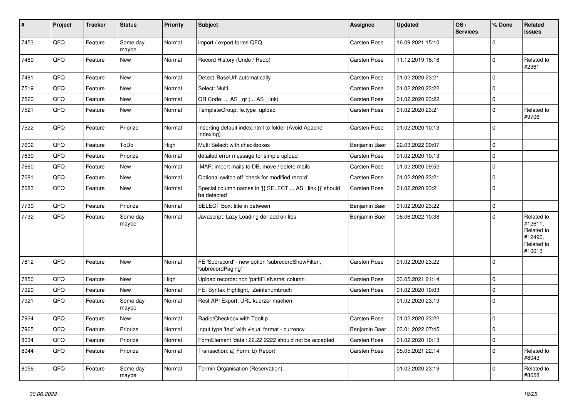| $\sharp$ | Project    | <b>Tracker</b> | <b>Status</b>     | <b>Priority</b> | <b>Subject</b>                                                          | Assignee      | <b>Updated</b>   | OS/<br><b>Services</b> | % Done      | Related<br>issues                                                      |
|----------|------------|----------------|-------------------|-----------------|-------------------------------------------------------------------------|---------------|------------------|------------------------|-------------|------------------------------------------------------------------------|
| 7453     | QFQ        | Feature        | Some day<br>maybe | Normal          | import / export forms QFQ                                               | Carsten Rose  | 16.09.2021 15:10 |                        | $\Omega$    |                                                                        |
| 7480     | QFQ        | Feature        | New               | Normal          | Record History (Undo / Redo)                                            | Carsten Rose  | 11.12.2019 16:16 |                        | $\Omega$    | Related to<br>#2361                                                    |
| 7481     | QFQ        | Feature        | <b>New</b>        | Normal          | Detect 'BaseUrl' automatically                                          | Carsten Rose  | 01.02.2020 23:21 |                        | $\mathbf 0$ |                                                                        |
| 7519     | QFQ        | Feature        | New               | Normal          | Select: Multi                                                           | Carsten Rose  | 01.02.2020 23:22 |                        | $\mathbf 0$ |                                                                        |
| 7520     | QFQ        | Feature        | New               | Normal          | QR Code:  AS _qr ( AS _link)                                            | Carsten Rose  | 01.02.2020 23:22 |                        | $\mathbf 0$ |                                                                        |
| 7521     | QFQ        | Feature        | New               | Normal          | TemplateGroup: fe.type=upload                                           | Carsten Rose  | 01.02.2020 23:21 |                        | 0           | Related to<br>#9706                                                    |
| 7522     | QFQ        | Feature        | Priorize          | Normal          | Inserting default index.html to folder (Avoid Apache<br>Indexing)       | Carsten Rose  | 01.02.2020 10:13 |                        | $\mathbf 0$ |                                                                        |
| 7602     | QFQ        | Feature        | ToDo              | High            | Multi Select: with checkboxes                                           | Benjamin Baer | 22.03.2022 09:07 |                        | $\mathbf 0$ |                                                                        |
| 7630     | QFQ        | Feature        | Priorize          | Normal          | detailed error message for simple upload                                | Carsten Rose  | 01.02.2020 10:13 |                        | $\mathbf 0$ |                                                                        |
| 7660     | QFQ        | Feature        | New               | Normal          | IMAP: import mails to DB, move / delete mails                           | Carsten Rose  | 01.02.2020 09:52 |                        | $\mathbf 0$ |                                                                        |
| 7681     | QFQ        | Feature        | New               | Normal          | Optional switch off 'check for modified record'                         | Carsten Rose  | 01.02.2020 23:21 |                        | $\mathbf 0$ |                                                                        |
| 7683     | QFQ        | Feature        | New               | Normal          | Special column names in '{{ SELECT  AS _link }}' should<br>be detected  | Carsten Rose  | 01.02.2020 23:21 |                        | $\Omega$    |                                                                        |
| 7730     | QFQ        | Feature        | Priorize          | Normal          | SELECT Box: title in between                                            | Benjamin Baer | 01.02.2020 23:22 |                        | $\mathbf 0$ |                                                                        |
| 7732     | QFQ        | Feature        | Some day<br>maybe | Normal          | Javascript: Lazy Loading der add on libs                                | Benjamin Baer | 08.06.2022 10:38 |                        | $\Omega$    | Related to<br>#12611,<br>Related to<br>#12490,<br>Related to<br>#10013 |
| 7812     | QFQ        | Feature        | New               | Normal          | FE 'Subrecord' - new option 'subrecordShowFilter',<br>'subrecordPaging' | Carsten Rose  | 01.02.2020 23:22 |                        | $\Omega$    |                                                                        |
| 7850     | QFQ        | Feature        | New               | High            | Upload records: non 'pathFileName' column                               | Carsten Rose  | 03.05.2021 21:14 |                        | $\mathbf 0$ |                                                                        |
| 7920     | QFQ        | Feature        | New               | Normal          | FE: Syntax Highlight, Zeinlenumbruch                                    | Carsten Rose  | 01.02.2020 10:03 |                        | $\mathbf 0$ |                                                                        |
| 7921     | QFQ        | Feature        | Some day<br>maybe | Normal          | Rest API Export: URL kuerzer machen                                     |               | 01.02.2020 23:19 |                        | $\Omega$    |                                                                        |
| 7924     | QFQ        | Feature        | New               | Normal          | Radio/Checkbox with Tooltip                                             | Carsten Rose  | 01.02.2020 23:22 |                        | $\Omega$    |                                                                        |
| 7965     | <b>QFQ</b> | Feature        | Priorize          | Normal          | Input type 'text' with visual format - currency                         | Benjamin Baer | 03.01.2022 07:45 |                        | 0           |                                                                        |
| 8034     | QFQ        | Feature        | Priorize          | Normal          | FormElement 'data': 22.22.2222 should not be accepted                   | Carsten Rose  | 01.02.2020 10:13 |                        | $\mathbf 0$ |                                                                        |
| 8044     | QFQ        | Feature        | Priorize          | Normal          | Transaction: a) Form, b) Report                                         | Carsten Rose  | 05.05.2021 22:14 |                        | $\mathbf 0$ | Related to<br>#8043                                                    |
| 8056     | QFQ        | Feature        | Some day<br>maybe | Normal          | Termin Organisation (Reservation)                                       |               | 01.02.2020 23:19 |                        | $\mathbf 0$ | Related to<br>#8658                                                    |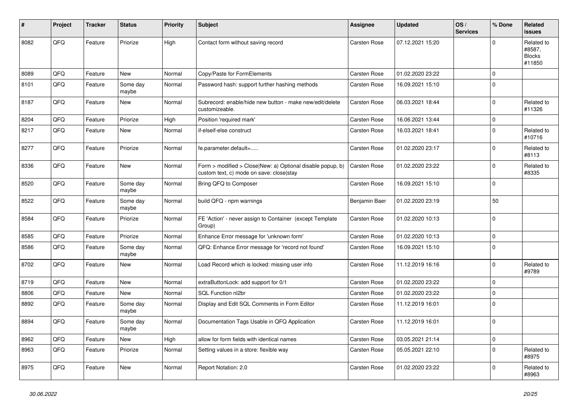| #    | Project | <b>Tracker</b> | <b>Status</b>     | <b>Priority</b> | <b>Subject</b>                                                                                         | Assignee            | <b>Updated</b>   | OS/<br><b>Services</b> | % Done      | Related<br><b>issues</b>                        |
|------|---------|----------------|-------------------|-----------------|--------------------------------------------------------------------------------------------------------|---------------------|------------------|------------------------|-------------|-------------------------------------------------|
| 8082 | QFQ     | Feature        | Priorize          | High            | Contact form without saving record                                                                     | Carsten Rose        | 07.12.2021 15:20 |                        | $\Omega$    | Related to<br>#8587,<br><b>Blocks</b><br>#11850 |
| 8089 | QFQ     | Feature        | <b>New</b>        | Normal          | Copy/Paste for FormElements                                                                            | Carsten Rose        | 01.02.2020 23:22 |                        | $\mathbf 0$ |                                                 |
| 8101 | QFQ     | Feature        | Some day<br>maybe | Normal          | Password hash: support further hashing methods                                                         | <b>Carsten Rose</b> | 16.09.2021 15:10 |                        | $\Omega$    |                                                 |
| 8187 | QFQ     | Feature        | New               | Normal          | Subrecord: enable/hide new button - make new/edit/delete<br>customizeable.                             | Carsten Rose        | 06.03.2021 18:44 |                        | $\mathbf 0$ | Related to<br>#11326                            |
| 8204 | QFQ     | Feature        | Priorize          | High            | Position 'required mark'                                                                               | Carsten Rose        | 16.06.2021 13:44 |                        | $\pmb{0}$   |                                                 |
| 8217 | QFQ     | Feature        | New               | Normal          | if-elseif-else construct                                                                               | <b>Carsten Rose</b> | 16.03.2021 18:41 |                        | $\pmb{0}$   | Related to<br>#10716                            |
| 8277 | QFQ     | Feature        | Priorize          | Normal          | fe.parameter.default=                                                                                  | Carsten Rose        | 01.02.2020 23:17 |                        | $\Omega$    | Related to<br>#8113                             |
| 8336 | QFQ     | Feature        | <b>New</b>        | Normal          | Form > modified > Close New: a) Optional disable popup, b)<br>custom text, c) mode on save: close stay | Carsten Rose        | 01.02.2020 23:22 |                        | $\mathbf 0$ | Related to<br>#8335                             |
| 8520 | QFQ     | Feature        | Some day<br>maybe | Normal          | Bring QFQ to Composer                                                                                  | <b>Carsten Rose</b> | 16.09.2021 15:10 |                        | $\mathbf 0$ |                                                 |
| 8522 | QFQ     | Feature        | Some day<br>maybe | Normal          | build QFQ - npm warnings                                                                               | Benjamin Baer       | 01.02.2020 23:19 |                        | 50          |                                                 |
| 8584 | QFQ     | Feature        | Priorize          | Normal          | FE 'Action' - never assign to Container (except Template<br>Group)                                     | Carsten Rose        | 01.02.2020 10:13 |                        | $\mathbf 0$ |                                                 |
| 8585 | QFQ     | Feature        | Priorize          | Normal          | Enhance Error message for 'unknown form'                                                               | Carsten Rose        | 01.02.2020 10:13 |                        | $\pmb{0}$   |                                                 |
| 8586 | QFQ     | Feature        | Some day<br>maybe | Normal          | QFQ: Enhance Error message for 'record not found'                                                      | Carsten Rose        | 16.09.2021 15:10 |                        | $\mathbf 0$ |                                                 |
| 8702 | QFQ     | Feature        | New               | Normal          | Load Record which is locked: missing user info                                                         | Carsten Rose        | 11.12.2019 16:16 |                        | $\Omega$    | Related to<br>#9789                             |
| 8719 | QFQ     | Feature        | <b>New</b>        | Normal          | extraButtonLock: add support for 0/1                                                                   | Carsten Rose        | 01.02.2020 23:22 |                        | $\pmb{0}$   |                                                 |
| 8806 | QFQ     | Feature        | <b>New</b>        | Normal          | SQL Function nl2br                                                                                     | Carsten Rose        | 01.02.2020 23:22 |                        | $\mathbf 0$ |                                                 |
| 8892 | QFQ     | Feature        | Some day<br>maybe | Normal          | Display and Edit SQL Comments in Form Editor                                                           | <b>Carsten Rose</b> | 11.12.2019 16:01 |                        | $\Omega$    |                                                 |
| 8894 | QFQ     | Feature        | Some day<br>maybe | Normal          | Documentation Tags Usable in QFQ Application                                                           | Carsten Rose        | 11.12.2019 16:01 |                        | $\mathbf 0$ |                                                 |
| 8962 | QFQ     | Feature        | New               | High            | allow for form fields with identical names                                                             | <b>Carsten Rose</b> | 03.05.2021 21:14 |                        | $\pmb{0}$   |                                                 |
| 8963 | QFQ     | Feature        | Priorize          | Normal          | Setting values in a store: flexible way                                                                | Carsten Rose        | 05.05.2021 22:10 |                        | $\mathbf 0$ | Related to<br>#8975                             |
| 8975 | QFQ     | Feature        | New               | Normal          | Report Notation: 2.0                                                                                   | Carsten Rose        | 01.02.2020 23:22 |                        | $\Omega$    | Related to<br>#8963                             |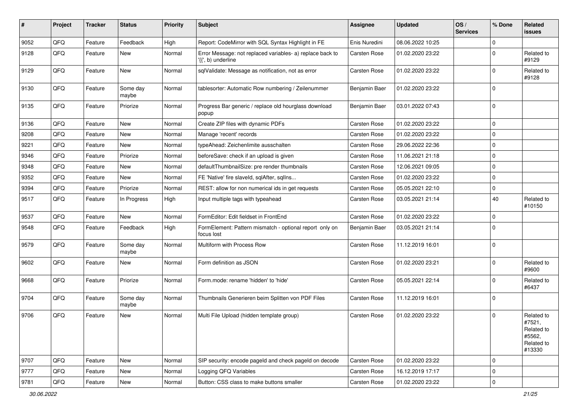| #    | Project | <b>Tracker</b> | <b>Status</b>     | <b>Priority</b> | Subject                                                                                     | <b>Assignee</b> | <b>Updated</b>   | OS/<br><b>Services</b> | % Done      | Related<br>issues                                                    |
|------|---------|----------------|-------------------|-----------------|---------------------------------------------------------------------------------------------|-----------------|------------------|------------------------|-------------|----------------------------------------------------------------------|
| 9052 | QFQ     | Feature        | Feedback          | High            | Report: CodeMirror with SQL Syntax Highlight in FE                                          | Enis Nuredini   | 08.06.2022 10:25 |                        | 0           |                                                                      |
| 9128 | QFQ     | Feature        | New               | Normal          | Error Message: not replaced variables- a) replace back to<br>$\langle \{ \}$ , b) underline | Carsten Rose    | 01.02.2020 23:22 |                        | $\Omega$    | Related to<br>#9129                                                  |
| 9129 | QFQ     | Feature        | New               | Normal          | sqlValidate: Message as notification, not as error                                          | Carsten Rose    | 01.02.2020 23:22 |                        | $\Omega$    | Related to<br>#9128                                                  |
| 9130 | QFQ     | Feature        | Some day<br>maybe | Normal          | tablesorter: Automatic Row numbering / Zeilenummer                                          | Benjamin Baer   | 01.02.2020 23:22 |                        | $\Omega$    |                                                                      |
| 9135 | QFQ     | Feature        | Priorize          | Normal          | Progress Bar generic / replace old hourglass download<br>popup                              | Benjamin Baer   | 03.01.2022 07:43 |                        | $\Omega$    |                                                                      |
| 9136 | QFQ     | Feature        | New               | Normal          | Create ZIP files with dynamic PDFs                                                          | Carsten Rose    | 01.02.2020 23:22 |                        | $\mathbf 0$ |                                                                      |
| 9208 | QFQ     | Feature        | New               | Normal          | Manage 'recent' records                                                                     | Carsten Rose    | 01.02.2020 23:22 |                        | $\mathbf 0$ |                                                                      |
| 9221 | QFQ     | Feature        | New               | Normal          | typeAhead: Zeichenlimite ausschalten                                                        | Carsten Rose    | 29.06.2022 22:36 |                        | $\mathbf 0$ |                                                                      |
| 9346 | QFQ     | Feature        | Priorize          | Normal          | beforeSave: check if an upload is given                                                     | Carsten Rose    | 11.06.2021 21:18 |                        | $\mathbf 0$ |                                                                      |
| 9348 | QFQ     | Feature        | New               | Normal          | defaultThumbnailSize: pre render thumbnails                                                 | Carsten Rose    | 12.06.2021 09:05 |                        | $\Omega$    |                                                                      |
| 9352 | QFQ     | Feature        | New               | Normal          | FE 'Native' fire slaveld, sqlAfter, sqlIns                                                  | Carsten Rose    | 01.02.2020 23:22 |                        | $\Omega$    |                                                                      |
| 9394 | QFQ     | Feature        | Priorize          | Normal          | REST: allow for non numerical ids in get requests                                           | Carsten Rose    | 05.05.2021 22:10 |                        | 0           |                                                                      |
| 9517 | QFQ     | Feature        | In Progress       | High            | Input multiple tags with typeahead                                                          | Carsten Rose    | 03.05.2021 21:14 |                        | 40          | Related to<br>#10150                                                 |
| 9537 | QFQ     | Feature        | New               | Normal          | FormEditor: Edit fieldset in FrontEnd                                                       | Carsten Rose    | 01.02.2020 23:22 |                        | $\mathbf 0$ |                                                                      |
| 9548 | QFQ     | Feature        | Feedback          | High            | FormElement: Pattern mismatch - optional report only on<br>focus lost                       | Benjamin Baer   | 03.05.2021 21:14 |                        | $\Omega$    |                                                                      |
| 9579 | QFQ     | Feature        | Some day<br>maybe | Normal          | Multiform with Process Row                                                                  | Carsten Rose    | 11.12.2019 16:01 |                        | $\Omega$    |                                                                      |
| 9602 | QFQ     | Feature        | New               | Normal          | Form definition as JSON                                                                     | Carsten Rose    | 01.02.2020 23:21 |                        | $\Omega$    | Related to<br>#9600                                                  |
| 9668 | QFQ     | Feature        | Priorize          | Normal          | Form.mode: rename 'hidden' to 'hide'                                                        | Carsten Rose    | 05.05.2021 22:14 |                        | $\Omega$    | Related to<br>#6437                                                  |
| 9704 | QFQ     | Feature        | Some day<br>maybe | Normal          | Thumbnails Generieren beim Splitten von PDF Files                                           | Carsten Rose    | 11.12.2019 16:01 |                        | $\mathbf 0$ |                                                                      |
| 9706 | QFQ     | Feature        | New               | Normal          | Multi File Upload (hidden template group)                                                   | Carsten Rose    | 01.02.2020 23:22 |                        | $\Omega$    | Related to<br>#7521,<br>Related to<br>#5562,<br>Related to<br>#13330 |
| 9707 | QFQ     | Feature        | New               | Normal          | SIP security: encode pageld and check pageld on decode                                      | Carsten Rose    | 01.02.2020 23:22 |                        | $\Omega$    |                                                                      |
| 9777 | QFQ     | Feature        | New               | Normal          | Logging QFQ Variables                                                                       | Carsten Rose    | 16.12.2019 17:17 |                        | $\mathbf 0$ |                                                                      |
| 9781 | QFQ     | Feature        | New               | Normal          | Button: CSS class to make buttons smaller                                                   | Carsten Rose    | 01.02.2020 23:22 |                        | 0           |                                                                      |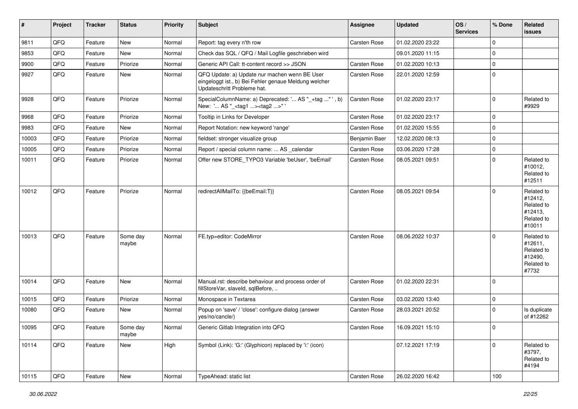| $\sharp$ | Project    | <b>Tracker</b> | <b>Status</b>     | <b>Priority</b> | Subject                                                                                                                               | <b>Assignee</b>     | <b>Updated</b>   | OS/<br><b>Services</b> | % Done      | Related<br>issues                                                      |
|----------|------------|----------------|-------------------|-----------------|---------------------------------------------------------------------------------------------------------------------------------------|---------------------|------------------|------------------------|-------------|------------------------------------------------------------------------|
| 9811     | QFQ        | Feature        | New               | Normal          | Report: tag every n'th row                                                                                                            | Carsten Rose        | 01.02.2020 23:22 |                        | $\mathbf 0$ |                                                                        |
| 9853     | QFQ        | Feature        | New               | Normal          | Check das SQL / QFQ / Mail Logfile geschrieben wird                                                                                   |                     | 09.01.2020 11:15 |                        | $\mathbf 0$ |                                                                        |
| 9900     | QFQ        | Feature        | Priorize          | Normal          | Generic API Call: tt-content record >> JSON                                                                                           | Carsten Rose        | 01.02.2020 10:13 |                        | $\pmb{0}$   |                                                                        |
| 9927     | QFQ        | Feature        | New               | Normal          | QFQ Update: a) Update nur machen wenn BE User<br>eingeloggt ist., b) Bei Fehler genaue Meldung welcher<br>Updateschritt Probleme hat. | Carsten Rose        | 22.01.2020 12:59 |                        | $\mathbf 0$ |                                                                        |
| 9928     | QFQ        | Feature        | Priorize          | Normal          | SpecialColumnName: a) Deprecated: ' AS "_+tag " ', b)<br>New: ' AS "_ <tag1><tag2>"'</tag2></tag1>                                    | Carsten Rose        | 01.02.2020 23:17 |                        | $\mathbf 0$ | Related to<br>#9929                                                    |
| 9968     | QFQ        | Feature        | Priorize          | Normal          | Tooltip in Links for Developer                                                                                                        | Carsten Rose        | 01.02.2020 23:17 |                        | $\mathbf 0$ |                                                                        |
| 9983     | QFQ        | Feature        | New               | Normal          | Report Notation: new keyword 'range'                                                                                                  | Carsten Rose        | 01.02.2020 15:55 |                        | $\mathbf 0$ |                                                                        |
| 10003    | QFQ        | Feature        | Priorize          | Normal          | fieldset: stronger visualize group                                                                                                    | Benjamin Baer       | 12.02.2020 08:13 |                        | $\mathbf 0$ |                                                                        |
| 10005    | QFQ        | Feature        | Priorize          | Normal          | Report / special column name:  AS _calendar                                                                                           | Carsten Rose        | 03.06.2020 17:28 |                        | $\mathbf 0$ |                                                                        |
| 10011    | QFQ        | Feature        | Priorize          | Normal          | Offer new STORE_TYPO3 Variable 'beUser', 'beEmail'                                                                                    | Carsten Rose        | 08.05.2021 09:51 |                        | $\mathbf 0$ | Related to<br>#10012,<br>Related to<br>#12511                          |
| 10012    | QFQ        | Feature        | Priorize          | Normal          | redirectAllMailTo: {{beEmail:T}}                                                                                                      | <b>Carsten Rose</b> | 08.05.2021 09:54 |                        | $\mathbf 0$ | Related to<br>#12412,<br>Related to<br>#12413,<br>Related to<br>#10011 |
| 10013    | QFQ        | Feature        | Some day<br>maybe | Normal          | FE.typ=editor: CodeMirror                                                                                                             | Carsten Rose        | 08.06.2022 10:37 |                        | $\mathbf 0$ | Related to<br>#12611,<br>Related to<br>#12490,<br>Related to<br>#7732  |
| 10014    | QFQ        | Feature        | New               | Normal          | Manual.rst: describe behaviour and process order of<br>fillStoreVar, slaveId, sqlBefore,                                              | Carsten Rose        | 01.02.2020 22:31 |                        | $\mathbf 0$ |                                                                        |
| 10015    | QFQ        | Feature        | Priorize          | Normal          | Monospace in Textarea                                                                                                                 | Carsten Rose        | 03.02.2020 13:40 |                        | $\pmb{0}$   |                                                                        |
| 10080    | QFQ        | Feature        | New               | Normal          | Popup on 'save' / 'close': configure dialog (answer<br>yes/no/cancle/)                                                                | Carsten Rose        | 28.03.2021 20:52 |                        | $\Omega$    | Is duplicate<br>of #12262                                              |
| 10095    | <b>QFQ</b> | Feature        | Some day<br>maybe | Normal          | Generic Gitlab Integration into QFQ                                                                                                   | Carsten Rose        | 16.09.2021 15:10 |                        | $\pmb{0}$   |                                                                        |
| 10114    | QFQ        | Feature        | New               | High            | Symbol (Link): 'G:' (Glyphicon) replaced by 'i:' (icon)                                                                               |                     | 07.12.2021 17:19 |                        | $\mathbf 0$ | Related to<br>#3797,<br>Related to<br>#4194                            |
| 10115    | QFO        | Feature        | New               | Normal          | TypeAhead: static list                                                                                                                | Carsten Rose        | 26.02.2020 16:42 |                        | 100         |                                                                        |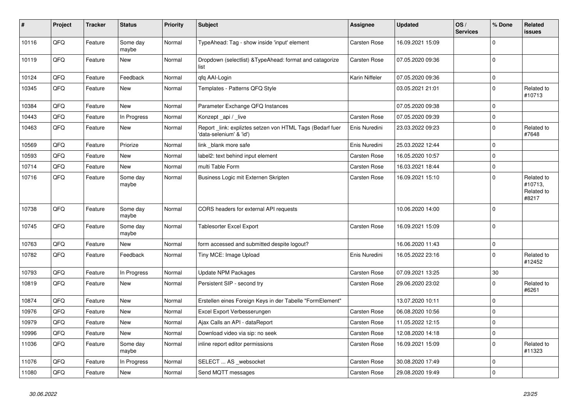| $\vert$ # | Project | <b>Tracker</b> | <b>Status</b>     | <b>Priority</b> | <b>Subject</b>                                                                       | Assignee            | <b>Updated</b>   | OS/<br><b>Services</b> | % Done       | <b>Related</b><br><b>issues</b>              |
|-----------|---------|----------------|-------------------|-----------------|--------------------------------------------------------------------------------------|---------------------|------------------|------------------------|--------------|----------------------------------------------|
| 10116     | QFQ     | Feature        | Some day<br>maybe | Normal          | TypeAhead: Tag - show inside 'input' element                                         | Carsten Rose        | 16.09.2021 15:09 |                        | $\Omega$     |                                              |
| 10119     | QFQ     | Feature        | New               | Normal          | Dropdown (selectlist) & Type Ahead: format and catagorize<br>list                    | Carsten Rose        | 07.05.2020 09:36 |                        | $\mathbf 0$  |                                              |
| 10124     | QFQ     | Feature        | Feedback          | Normal          | qfq AAI-Login                                                                        | Karin Niffeler      | 07.05.2020 09:36 |                        | $\mathbf 0$  |                                              |
| 10345     | QFQ     | Feature        | New               | Normal          | Templates - Patterns QFQ Style                                                       |                     | 03.05.2021 21:01 |                        | 0            | Related to<br>#10713                         |
| 10384     | QFQ     | Feature        | New               | Normal          | Parameter Exchange QFQ Instances                                                     |                     | 07.05.2020 09:38 |                        | $\mathbf 0$  |                                              |
| 10443     | QFQ     | Feature        | In Progress       | Normal          | Konzept_api / _live                                                                  | Carsten Rose        | 07.05.2020 09:39 |                        | $\mathbf 0$  |                                              |
| 10463     | QFQ     | Feature        | <b>New</b>        | Normal          | Report _link: expliztes setzen von HTML Tags (Bedarf fuer<br>'data-selenium' & 'id') | Enis Nuredini       | 23.03.2022 09:23 |                        | $\mathbf{0}$ | Related to<br>#7648                          |
| 10569     | QFQ     | Feature        | Priorize          | Normal          | link _blank more safe                                                                | Enis Nuredini       | 25.03.2022 12:44 |                        | 0            |                                              |
| 10593     | QFQ     | Feature        | New               | Normal          | label2: text behind input element                                                    | Carsten Rose        | 16.05.2020 10:57 |                        | $\Omega$     |                                              |
| 10714     | QFQ     | Feature        | <b>New</b>        | Normal          | multi Table Form                                                                     | Carsten Rose        | 16.03.2021 18:44 |                        | $\Omega$     |                                              |
| 10716     | QFQ     | Feature        | Some day<br>maybe | Normal          | Business Logic mit Externen Skripten                                                 | Carsten Rose        | 16.09.2021 15:10 |                        | $\Omega$     | Related to<br>#10713,<br>Related to<br>#8217 |
| 10738     | QFQ     | Feature        | Some day<br>maybe | Normal          | CORS headers for external API requests                                               |                     | 10.06.2020 14:00 |                        | $\mathbf 0$  |                                              |
| 10745     | QFQ     | Feature        | Some day<br>maybe | Normal          | Tablesorter Excel Export                                                             | Carsten Rose        | 16.09.2021 15:09 |                        | $\Omega$     |                                              |
| 10763     | QFQ     | Feature        | New               | Normal          | form accessed and submitted despite logout?                                          |                     | 16.06.2020 11:43 |                        | $\mathbf 0$  |                                              |
| 10782     | QFQ     | Feature        | Feedback          | Normal          | Tiny MCE: Image Upload                                                               | Enis Nuredini       | 16.05.2022 23:16 |                        | 0            | Related to<br>#12452                         |
| 10793     | QFQ     | Feature        | In Progress       | Normal          | Update NPM Packages                                                                  | Carsten Rose        | 07.09.2021 13:25 |                        | 30           |                                              |
| 10819     | QFQ     | Feature        | New               | Normal          | Persistent SIP - second try                                                          | Carsten Rose        | 29.06.2020 23:02 |                        | $\Omega$     | Related to<br>#6261                          |
| 10874     | QFQ     | Feature        | New               | Normal          | Erstellen eines Foreign Keys in der Tabelle "FormElement"                            |                     | 13.07.2020 10:11 |                        | $\Omega$     |                                              |
| 10976     | QFQ     | Feature        | New               | Normal          | Excel Export Verbesserungen                                                          | Carsten Rose        | 06.08.2020 10:56 |                        | $\Omega$     |                                              |
| 10979     | QFQ     | Feature        | New               | Normal          | Ajax Calls an API - dataReport                                                       | <b>Carsten Rose</b> | 11.05.2022 12:15 |                        | $\mathbf 0$  |                                              |
| 10996     | QFQ     | Feature        | New               | Normal          | Download video via sip: no seek                                                      | <b>Carsten Rose</b> | 12.08.2020 14:18 |                        | $\mathbf 0$  |                                              |
| 11036     | QFQ     | Feature        | Some day<br>maybe | Normal          | inline report editor permissions                                                     | Carsten Rose        | 16.09.2021 15:09 |                        | $\Omega$     | Related to<br>#11323                         |
| 11076     | QFQ     | Feature        | In Progress       | Normal          | SELECT  AS_websocket                                                                 | Carsten Rose        | 30.08.2020 17:49 |                        | $\mathbf 0$  |                                              |
| 11080     | QFQ     | Feature        | New               | Normal          | Send MQTT messages                                                                   | Carsten Rose        | 29.08.2020 19:49 |                        | $\Omega$     |                                              |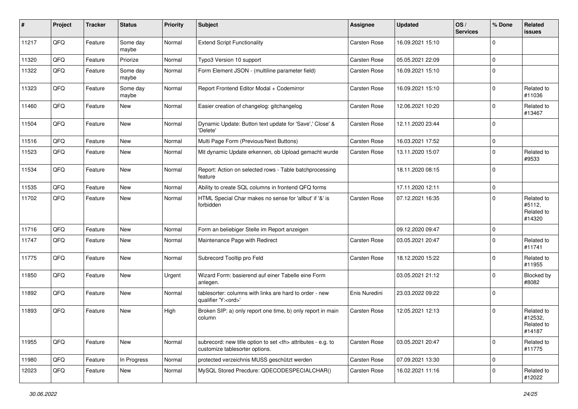| ∦     | Project | <b>Tracker</b> | <b>Status</b>     | <b>Priority</b> | <b>Subject</b>                                                                                       | <b>Assignee</b>                                        | <b>Updated</b>   | OS/<br><b>Services</b> | % Done      | Related<br><b>issues</b>                      |                      |
|-------|---------|----------------|-------------------|-----------------|------------------------------------------------------------------------------------------------------|--------------------------------------------------------|------------------|------------------------|-------------|-----------------------------------------------|----------------------|
| 11217 | QFQ     | Feature        | Some day<br>maybe | Normal          | <b>Extend Script Functionality</b>                                                                   | <b>Carsten Rose</b>                                    | 16.09.2021 15:10 |                        | $\mathbf 0$ |                                               |                      |
| 11320 | QFQ     | Feature        | Priorize          | Normal          | Typo3 Version 10 support                                                                             | <b>Carsten Rose</b>                                    | 05.05.2021 22:09 |                        | $\mathbf 0$ |                                               |                      |
| 11322 | QFQ     | Feature        | Some day<br>maybe | Normal          | Form Element JSON - (multiline parameter field)                                                      | Carsten Rose                                           | 16.09.2021 15:10 |                        | $\mathbf 0$ |                                               |                      |
| 11323 | QFQ     | Feature        | Some day<br>maybe | Normal          | Report Frontend Editor Modal + Codemirror                                                            | Carsten Rose                                           | 16.09.2021 15:10 |                        | $\mathbf 0$ | Related to<br>#11036                          |                      |
| 11460 | QFQ     | Feature        | New               | Normal          | Easier creation of changelog: gitchangelog                                                           | Carsten Rose                                           | 12.06.2021 10:20 |                        | $\mathbf 0$ | Related to<br>#13467                          |                      |
| 11504 | QFQ     | Feature        | New               | Normal          | Dynamic Update: Button text update for 'Save',' Close' &<br>'Delete'                                 | Carsten Rose                                           | 12.11.2020 23:44 |                        | $\pmb{0}$   |                                               |                      |
| 11516 | QFQ     | Feature        | <b>New</b>        | Normal          | Multi Page Form (Previous/Next Buttons)                                                              | <b>Carsten Rose</b>                                    | 16.03.2021 17:52 |                        | $\pmb{0}$   |                                               |                      |
| 11523 | QFQ     | Feature        | New               | Normal          | Mit dynamic Update erkennen, ob Upload gemacht wurde                                                 | Carsten Rose                                           | 13.11.2020 15:07 |                        | $\mathbf 0$ | Related to<br>#9533                           |                      |
| 11534 | QFQ     | Feature        | New               | Normal          | Report: Action on selected rows - Table batchprocessing<br>feature                                   |                                                        | 18.11.2020 08:15 |                        | $\mathbf 0$ |                                               |                      |
| 11535 | QFQ     | Feature        | <b>New</b>        | Normal          | Ability to create SQL columns in frontend QFQ forms                                                  |                                                        | 17.11.2020 12:11 |                        | $\mathbf 0$ |                                               |                      |
| 11702 | QFQ     | Feature        | New               | Normal          | HTML Special Char makes no sense for 'allbut' if '&' is<br>forbidden                                 | <b>Carsten Rose</b>                                    | 07.12.2021 16:35 |                        | $\mathbf 0$ | Related to<br>#5112,<br>Related to<br>#14320  |                      |
| 11716 | QFQ     | Feature        | New               | Normal          | Form an beliebiger Stelle im Report anzeigen                                                         |                                                        | 09.12.2020 09:47 |                        | $\mathbf 0$ |                                               |                      |
| 11747 | QFQ     | Feature        | New               | Normal          | Maintenance Page with Redirect                                                                       | Carsten Rose                                           | 03.05.2021 20:47 |                        | $\Omega$    | Related to<br>#11741                          |                      |
| 11775 | QFQ     | Feature        | New               | Normal          | Subrecord Tooltip pro Feld                                                                           | <b>Carsten Rose</b>                                    | 18.12.2020 15:22 |                        | $\mathbf 0$ | Related to<br>#11955                          |                      |
| 11850 | QFQ     | Feature        | New               | Urgent          | Wizard Form: basierend auf einer Tabelle eine Form<br>anlegen.                                       |                                                        | 03.05.2021 21:12 |                        | $\mathbf 0$ | Blocked by<br>#8082                           |                      |
| 11892 | QFQ     | Feature        | New               | Normal          | tablesorter: columns with links are hard to order - new<br>qualifier 'Y: <ord>'</ord>                | Enis Nuredini                                          | 23.03.2022 09:22 |                        | $\mathbf 0$ |                                               |                      |
| 11893 | QFQ     | Feature        | New               | High            | Broken SIP: a) only report one time, b) only report in main<br>column                                | Carsten Rose                                           | 12.05.2021 12:13 |                        | $\mathbf 0$ | Related to<br>#12532,<br>Related to<br>#14187 |                      |
| 11955 | QFQ     | Feature        | New               | Normal          | subrecord: new title option to set <th> attributes - e.g. to<br/>customize tablesorter options.</th> | attributes - e.g. to<br>customize tablesorter options. | Carsten Rose     | 03.05.2021 20:47       |             | $\mathbf 0$                                   | Related to<br>#11775 |
| 11980 | QFQ     | Feature        | In Progress       | Normal          | protected verzeichnis MUSS geschützt werden                                                          | Carsten Rose                                           | 07.09.2021 13:30 |                        | $\pmb{0}$   |                                               |                      |
| 12023 | QFQ     | Feature        | New               | Normal          | MySQL Stored Precdure: QDECODESPECIALCHAR()                                                          | Carsten Rose                                           | 16.02.2021 11:16 |                        | 0           | Related to<br>#12022                          |                      |